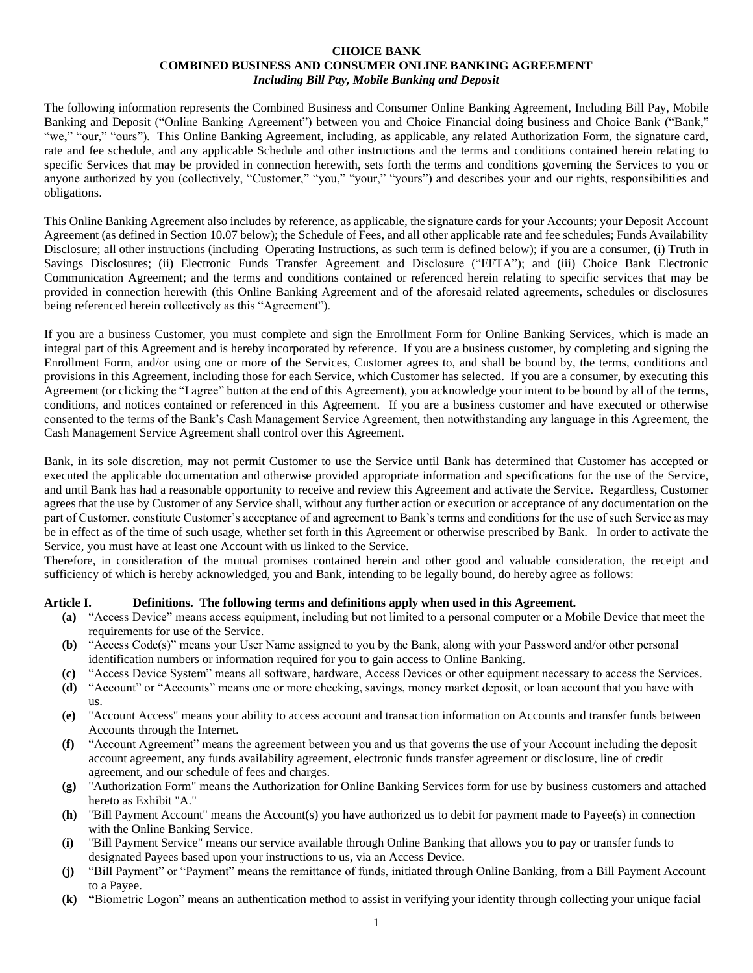#### **CHOICE BANK COMBINED BUSINESS AND CONSUMER ONLINE BANKING AGREEMENT** *Including Bill Pay, Mobile Banking and Deposit*

The following information represents the Combined Business and Consumer Online Banking Agreement, Including Bill Pay, Mobile Banking and Deposit ("Online Banking Agreement") between you and Choice Financial doing business and Choice Bank ("Bank," "we," "our," "ours"). This Online Banking Agreement, including, as applicable, any related Authorization Form, the signature card, rate and fee schedule, and any applicable Schedule and other instructions and the terms and conditions contained herein relating to specific Services that may be provided in connection herewith, sets forth the terms and conditions governing the Services to you or anyone authorized by you (collectively, "Customer," "you," "your," "yours") and describes your and our rights, responsibilities and obligations.

This Online Banking Agreement also includes by reference, as applicable, the signature cards for your Accounts; your Deposit Account Agreement (as defined i[n Section 10.07](#page-18-0) below); the Schedule of Fees, and all other applicable rate and fee schedules; Funds Availability Disclosure; all other instructions (including Operating Instructions, as such term is defined below); if you are a consumer, (i) Truth in Savings Disclosures; (ii) Electronic Funds Transfer Agreement and Disclosure ("EFTA"); and (iii) Choice Bank Electronic Communication Agreement; and the terms and conditions contained or referenced herein relating to specific services that may be provided in connection herewith (this Online Banking Agreement and of the aforesaid related agreements, schedules or disclosures being referenced herein collectively as this "Agreement").

If you are a business Customer, you must complete and sign the Enrollment Form for Online Banking Services, which is made an integral part of this Agreement and is hereby incorporated by reference. If you are a business customer, by completing and signing the Enrollment Form, and/or using one or more of the Services, Customer agrees to, and shall be bound by, the terms, conditions and provisions in this Agreement, including those for each Service, which Customer has selected. If you are a consumer, by executing this Agreement (or clicking the "I agree" button at the end of this Agreement), you acknowledge your intent to be bound by all of the terms, conditions, and notices contained or referenced in this Agreement. If you are a business customer and have executed or otherwise consented to the terms of the Bank's Cash Management Service Agreement, then notwithstanding any language in this Agreement, the Cash Management Service Agreement shall control over this Agreement.

Bank, in its sole discretion, may not permit Customer to use the Service until Bank has determined that Customer has accepted or executed the applicable documentation and otherwise provided appropriate information and specifications for the use of the Service, and until Bank has had a reasonable opportunity to receive and review this Agreement and activate the Service. Regardless, Customer agrees that the use by Customer of any Service shall, without any further action or execution or acceptance of any documentation on the part of Customer, constitute Customer's acceptance of and agreement to Bank's terms and conditions for the use of such Service as may be in effect as of the time of such usage, whether set forth in this Agreement or otherwise prescribed by Bank. In order to activate the Service, you must have at least one Account with us linked to the Service.

Therefore, in consideration of the mutual promises contained herein and other good and valuable consideration, the receipt and sufficiency of which is hereby acknowledged, you and Bank, intending to be legally bound, do hereby agree as follows:

# **Article I. Definitions. The following terms and definitions apply when used in this Agreement.**

- **(a)** "Access Device" means access equipment, including but not limited to a personal computer or a Mobile Device that meet the requirements for use of the Service.
- **(b)** "Access Code(s)" means your User Name assigned to you by the Bank, along with your Password and/or other personal identification numbers or information required for you to gain access to Online Banking.
- **(c)** "Access Device System" means all software, hardware, Access Devices or other equipment necessary to access the Services.
- **(d)** "Account" or "Accounts" means one or more checking, savings, money market deposit, or loan account that you have with us.
- **(e)** "Account Access" means your ability to access account and transaction information on Accounts and transfer funds between Accounts through the Internet.
- **(f)** "Account Agreement" means the agreement between you and us that governs the use of your Account including the deposit account agreement, any funds availability agreement, electronic funds transfer agreement or disclosure, line of credit agreement, and our schedule of fees and charges.
- **(g)** "Authorization Form" means the Authorization for Online Banking Services form for use by business customers and attached hereto as Exhibit "A."
- **(h)** "Bill Payment Account" means the Account(s) you have authorized us to debit for payment made to Payee(s) in connection with the Online Banking Service.
- **(i)** "Bill Payment Service" means our service available through Online Banking that allows you to pay or transfer funds to designated Payees based upon your instructions to us, via an Access Device.
- **(j)** "Bill Payment" or "Payment" means the remittance of funds, initiated through Online Banking, from a Bill Payment Account to a Payee.
- **(k) "**Biometric Logon" means an authentication method to assist in verifying your identity through collecting your unique facial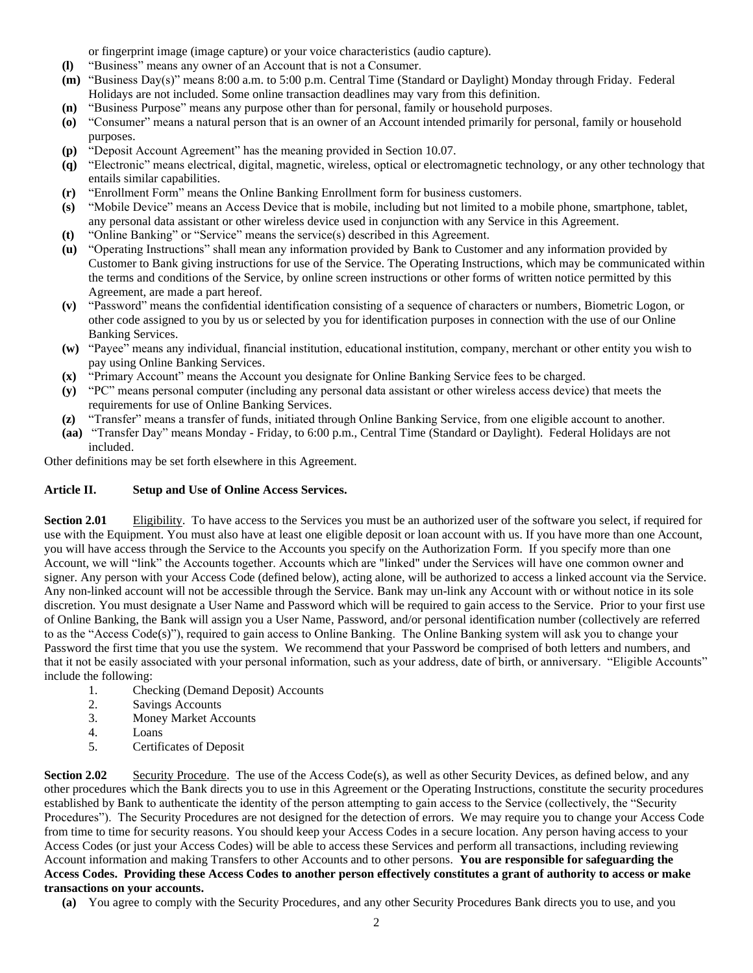or fingerprint image (image capture) or your voice characteristics (audio capture).

- **(l)** "Business" means any owner of an Account that is not a Consumer.
- **(m)** "Business Day(s)" means 8:00 a.m. to 5:00 p.m. Central Time (Standard or Daylight) Monday through Friday. Federal Holidays are not included. Some online transaction deadlines may vary from this definition.
- **(n)** "Business Purpose" means any purpose other than for personal, family or household purposes.
- **(o)** "Consumer" means a natural person that is an owner of an Account intended primarily for personal, family or household purposes.
- **(p)** "Deposit Account Agreement" has the meaning provided i[n Section 10.07.](#page-18-0)
- **(q)** "Electronic" means electrical, digital, magnetic, wireless, optical or electromagnetic technology, or any other technology that entails similar capabilities.
- **(r)** "Enrollment Form" means the Online Banking Enrollment form for business customers.
- **(s)** "Mobile Device" means an Access Device that is mobile, including but not limited to a mobile phone, smartphone, tablet, any personal data assistant or other wireless device used in conjunction with any Service in this Agreement.
- **(t)** "Online Banking" or "Service" means the service(s) described in this Agreement.
- **(u)** "Operating Instructions" shall mean any information provided by Bank to Customer and any information provided by Customer to Bank giving instructions for use of the Service. The Operating Instructions, which may be communicated within the terms and conditions of the Service, by online screen instructions or other forms of written notice permitted by this Agreement, are made a part hereof.
- **(v)** "Password" means the confidential identification consisting of a sequence of characters or numbers, Biometric Logon, or other code assigned to you by us or selected by you for identification purposes in connection with the use of our Online Banking Services.
- **(w)** "Payee" means any individual, financial institution, educational institution, company, merchant or other entity you wish to pay using Online Banking Services.
- **(x)** "Primary Account" means the Account you designate for Online Banking Service fees to be charged.
- **(y)** "PC" means personal computer (including any personal data assistant or other wireless access device) that meets the requirements for use of Online Banking Services.
- **(z)** "Transfer" means a transfer of funds, initiated through Online Banking Service, from one eligible account to another.
- **(aa)** "Transfer Day" means Monday Friday, to 6:00 p.m., Central Time (Standard or Daylight). Federal Holidays are not included.

Other definitions may be set forth elsewhere in this Agreement.

# **Article II. Setup and Use of Online Access Services.**

**Section 2.01** Eligibility. To have access to the Services you must be an authorized user of the software you select, if required for use with the Equipment. You must also have at least one eligible deposit or loan account with us. If you have more than one Account, you will have access through the Service to the Accounts you specify on the Authorization Form. If you specify more than one Account, we will "link" the Accounts together. Accounts which are "linked" under the Services will have one common owner and signer. Any person with your Access Code (defined below), acting alone, will be authorized to access a linked account via the Service. Any non-linked account will not be accessible through the Service. Bank may un-link any Account with or without notice in its sole discretion. You must designate a User Name and Password which will be required to gain access to the Service. Prior to your first use of Online Banking, the Bank will assign you a User Name, Password, and/or personal identification number (collectively are referred to as the "Access Code(s)"), required to gain access to Online Banking. The Online Banking system will ask you to change your Password the first time that you use the system. We recommend that your Password be comprised of both letters and numbers, and that it not be easily associated with your personal information, such as your address, date of birth, or anniversary. "Eligible Accounts" include the following:

- 1. Checking (Demand Deposit) Accounts
- 2. Savings Accounts
- 3. Money Market Accounts
- 4. Loans
- 5. Certificates of Deposit

**Section 2.02** Security Procedure. The use of the Access Code(s), as well as other Security Devices, as defined below, and any other procedures which the Bank directs you to use in this Agreement or the Operating Instructions, constitute the security procedures established by Bank to authenticate the identity of the person attempting to gain access to the Service (collectively, the "Security Procedures"). The Security Procedures are not designed for the detection of errors. We may require you to change your Access Code from time to time for security reasons. You should keep your Access Codes in a secure location. Any person having access to your Access Codes (or just your Access Codes) will be able to access these Services and perform all transactions, including reviewing Account information and making Transfers to other Accounts and to other persons. **You are responsible for safeguarding the Access Codes. Providing these Access Codes to another person effectively constitutes a grant of authority to access or make transactions on your accounts.** 

**(a)** You agree to comply with the Security Procedures, and any other Security Procedures Bank directs you to use, and you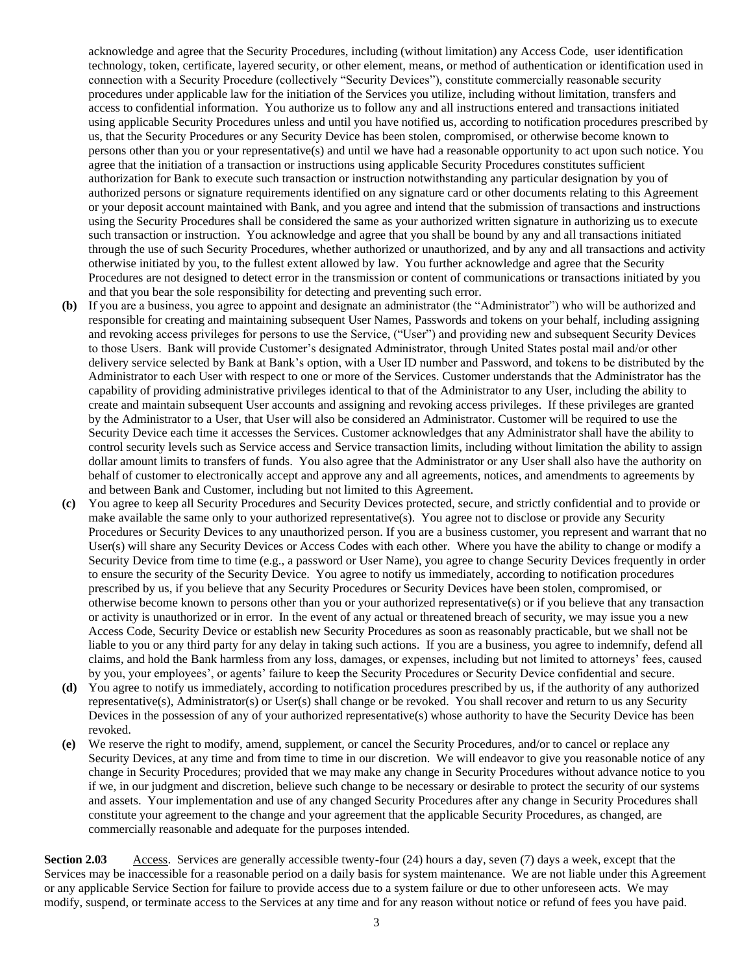acknowledge and agree that the Security Procedures, including (without limitation) any Access Code, user identification technology, token, certificate, layered security, or other element, means, or method of authentication or identification used in connection with a Security Procedure (collectively "Security Devices"), constitute commercially reasonable security procedures under applicable law for the initiation of the Services you utilize, including without limitation, transfers and access to confidential information. You authorize us to follow any and all instructions entered and transactions initiated using applicable Security Procedures unless and until you have notified us, according to notification procedures prescribed by us, that the Security Procedures or any Security Device has been stolen, compromised, or otherwise become known to persons other than you or your representative(s) and until we have had a reasonable opportunity to act upon such notice. You agree that the initiation of a transaction or instructions using applicable Security Procedures constitutes sufficient authorization for Bank to execute such transaction or instruction notwithstanding any particular designation by you of authorized persons or signature requirements identified on any signature card or other documents relating to this Agreement or your deposit account maintained with Bank, and you agree and intend that the submission of transactions and instructions using the Security Procedures shall be considered the same as your authorized written signature in authorizing us to execute such transaction or instruction. You acknowledge and agree that you shall be bound by any and all transactions initiated through the use of such Security Procedures, whether authorized or unauthorized, and by any and all transactions and activity otherwise initiated by you, to the fullest extent allowed by law. You further acknowledge and agree that the Security Procedures are not designed to detect error in the transmission or content of communications or transactions initiated by you and that you bear the sole responsibility for detecting and preventing such error.

- **(b)** If you are a business, you agree to appoint and designate an administrator (the "Administrator") who will be authorized and responsible for creating and maintaining subsequent User Names, Passwords and tokens on your behalf, including assigning and revoking access privileges for persons to use the Service, ("User") and providing new and subsequent Security Devices to those Users. Bank will provide Customer's designated Administrator, through United States postal mail and/or other delivery service selected by Bank at Bank's option, with a User ID number and Password, and tokens to be distributed by the Administrator to each User with respect to one or more of the Services. Customer understands that the Administrator has the capability of providing administrative privileges identical to that of the Administrator to any User, including the ability to create and maintain subsequent User accounts and assigning and revoking access privileges. If these privileges are granted by the Administrator to a User, that User will also be considered an Administrator. Customer will be required to use the Security Device each time it accesses the Services. Customer acknowledges that any Administrator shall have the ability to control security levels such as Service access and Service transaction limits, including without limitation the ability to assign dollar amount limits to transfers of funds. You also agree that the Administrator or any User shall also have the authority on behalf of customer to electronically accept and approve any and all agreements, notices, and amendments to agreements by and between Bank and Customer, including but not limited to this Agreement.
- **(c)** You agree to keep all Security Procedures and Security Devices protected, secure, and strictly confidential and to provide or make available the same only to your authorized representative(s). You agree not to disclose or provide any Security Procedures or Security Devices to any unauthorized person. If you are a business customer, you represent and warrant that no User(s) will share any Security Devices or Access Codes with each other. Where you have the ability to change or modify a Security Device from time to time (e.g., a password or User Name), you agree to change Security Devices frequently in order to ensure the security of the Security Device. You agree to notify us immediately, according to notification procedures prescribed by us, if you believe that any Security Procedures or Security Devices have been stolen, compromised, or otherwise become known to persons other than you or your authorized representative(s) or if you believe that any transaction or activity is unauthorized or in error. In the event of any actual or threatened breach of security, we may issue you a new Access Code, Security Device or establish new Security Procedures as soon as reasonably practicable, but we shall not be liable to you or any third party for any delay in taking such actions. If you are a business, you agree to indemnify, defend all claims, and hold the Bank harmless from any loss, damages, or expenses, including but not limited to attorneys' fees, caused by you, your employees', or agents' failure to keep the Security Procedures or Security Device confidential and secure.
- **(d)** You agree to notify us immediately, according to notification procedures prescribed by us, if the authority of any authorized representative(s), Administrator(s) or User(s) shall change or be revoked. You shall recover and return to us any Security Devices in the possession of any of your authorized representative(s) whose authority to have the Security Device has been revoked.
- **(e)** We reserve the right to modify, amend, supplement, or cancel the Security Procedures, and/or to cancel or replace any Security Devices, at any time and from time to time in our discretion. We will endeavor to give you reasonable notice of any change in Security Procedures; provided that we may make any change in Security Procedures without advance notice to you if we, in our judgment and discretion, believe such change to be necessary or desirable to protect the security of our systems and assets. Your implementation and use of any changed Security Procedures after any change in Security Procedures shall constitute your agreement to the change and your agreement that the applicable Security Procedures, as changed, are commercially reasonable and adequate for the purposes intended.

**Section 2.03** Access. Services are generally accessible twenty-four (24) hours a day, seven (7) days a week, except that the Services may be inaccessible for a reasonable period on a daily basis for system maintenance. We are not liable under this Agreement or any applicable Service Section for failure to provide access due to a system failure or due to other unforeseen acts. We may modify, suspend, or terminate access to the Services at any time and for any reason without notice or refund of fees you have paid.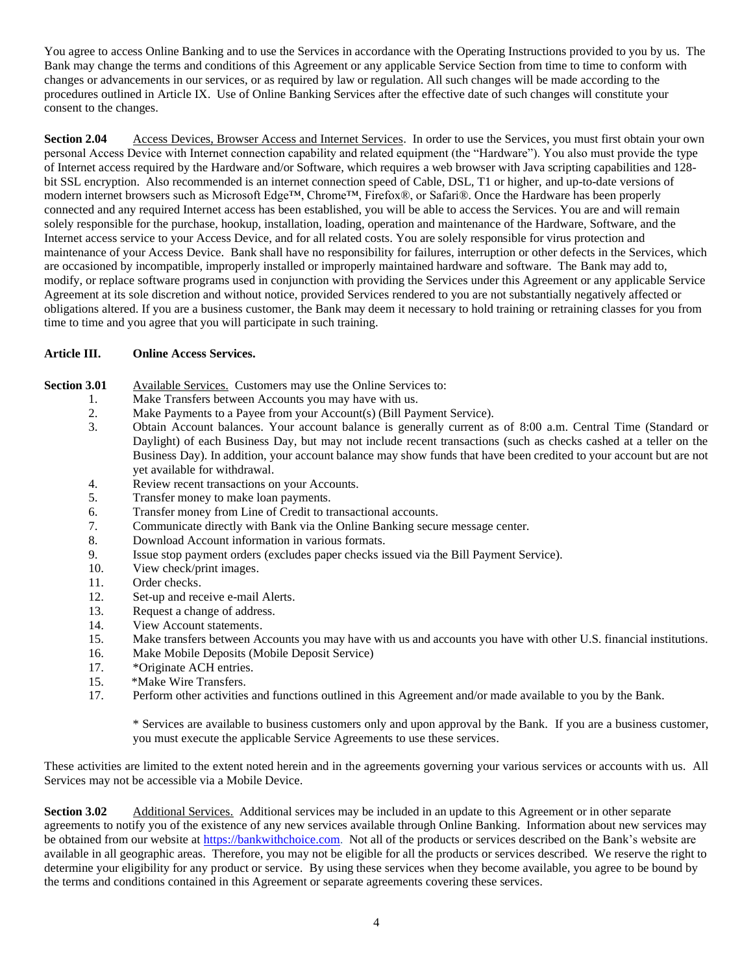You agree to access Online Banking and to use the Services in accordance with the Operating Instructions provided to you by us. The Bank may change the terms and conditions of this Agreement or any applicable Service Section from time to time to conform with changes or advancements in our services, or as required by law or regulation. All such changes will be made according to the procedures outlined in [Article IX.](#page-17-0) Use of Online Banking Services after the effective date of such changes will constitute your consent to the changes.

**Section 2.04** Access Devices, Browser Access and Internet Services. In order to use the Services, you must first obtain your own personal Access Device with Internet connection capability and related equipment (the "Hardware"). You also must provide the type of Internet access required by the Hardware and/or Software, which requires a web browser with Java scripting capabilities and 128 bit SSL encryption. Also recommended is an internet connection speed of Cable, DSL, T1 or higher, and up-to-date versions of modern internet browsers such as Microsoft Edge™, Chrome™, Firefox®, or Safari®. Once the Hardware has been properly connected and any required Internet access has been established, you will be able to access the Services. You are and will remain solely responsible for the purchase, hookup, installation, loading, operation and maintenance of the Hardware, Software, and the Internet access service to your Access Device, and for all related costs. You are solely responsible for virus protection and maintenance of your Access Device. Bank shall have no responsibility for failures, interruption or other defects in the Services, which are occasioned by incompatible, improperly installed or improperly maintained hardware and software. The Bank may add to, modify, or replace software programs used in conjunction with providing the Services under this Agreement or any applicable Service Agreement at its sole discretion and without notice, provided Services rendered to you are not substantially negatively affected or obligations altered. If you are a business customer, the Bank may deem it necessary to hold training or retraining classes for you from time to time and you agree that you will participate in such training.

# **Article III. Online Access Services.**

#### <span id="page-3-0"></span>**Section 3.01** Available Services. Customers may use the Online Services to:

- 1. Make Transfers between Accounts you may have with us.
- 
- 2. Make Payments to a Payee from your Account(s) (Bill Payment Service).<br>3. Obtain Account balances. Your account balance is generally current as 3. Obtain Account balances. Your account balance is generally current as of 8:00 a.m. Central Time (Standard or Daylight) of each Business Day, but may not include recent transactions (such as checks cashed at a teller on the Business Day). In addition, your account balance may show funds that have been credited to your account but are not yet available for withdrawal.
- 4. Review recent transactions on your Accounts.
- 5. Transfer money to make loan payments.
- 6. Transfer money from Line of Credit to transactional accounts.
- 7. Communicate directly with Bank via the Online Banking secure message center.
- 8. Download Account information in various formats.
- 9. Issue stop payment orders (excludes paper checks issued via the Bill Payment Service).
- 10. View check/print images.
- 11. Order checks.
- 12. Set-up and receive e-mail Alerts.
- 13. Request a change of address.
- 14. View Account statements.
- 15. Make transfers between Accounts you may have with us and accounts you have with other U.S. financial institutions.
- 16. Make Mobile Deposits (Mobile Deposit Service)
- 17. \* Originate ACH entries.
- 15. \*Make Wire Transfers.
- 17. Perform other activities and functions outlined in this Agreement and/or made available to you by the Bank.

\* Services are available to business customers only and upon approval by the Bank. If you are a business customer, you must execute the applicable Service Agreements to use these services.

These activities are limited to the extent noted herein and in the agreements governing your various services or accounts with us. All Services may not be accessible via a Mobile Device.

**Section 3.02** Additional Services. Additional services may be included in an update to this Agreement or in other separate agreements to notify you of the existence of any new services available through Online Banking. Information about new services may be obtained from our website at [https://bankwithchoice.com.](https://bankwithchoice.com/) Not all of the products or services described on the Bank's website are available in all geographic areas. Therefore, you may not be eligible for all the products or services described. We reserve the right to determine your eligibility for any product or service. By using these services when they become available, you agree to be bound by the terms and conditions contained in this Agreement or separate agreements covering these services.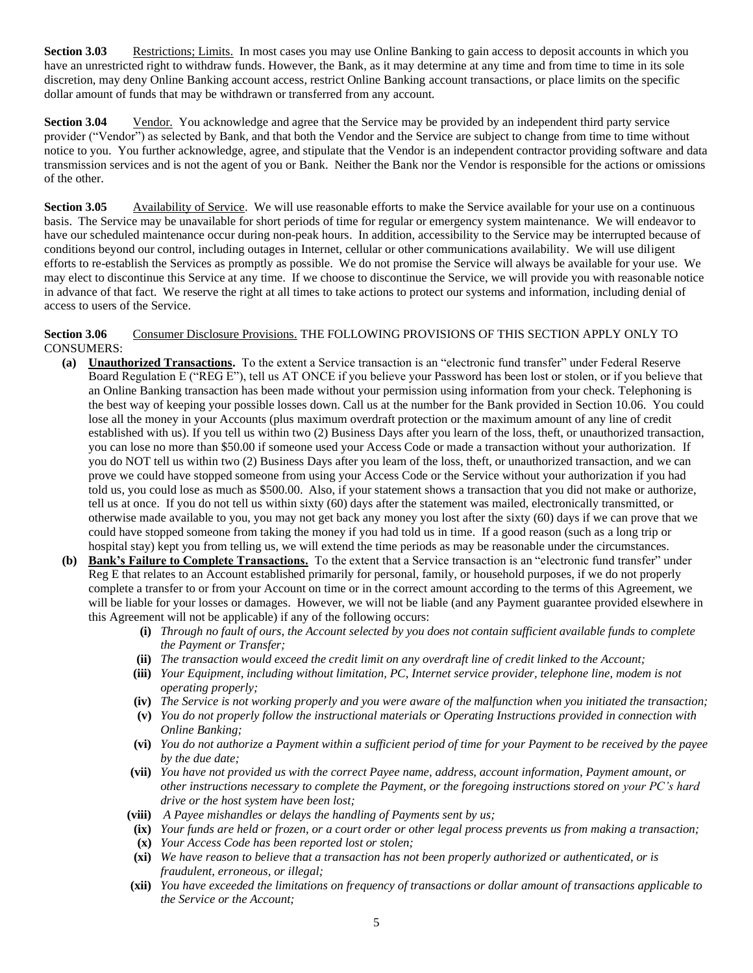**Section 3.03** Restrictions; Limits. In most cases you may use Online Banking to gain access to deposit accounts in which you have an unrestricted right to withdraw funds. However, the Bank, as it may determine at any time and from time to time in its sole discretion, may deny Online Banking account access, restrict Online Banking account transactions, or place limits on the specific dollar amount of funds that may be withdrawn or transferred from any account.

**Section 3.04** Vendor. You acknowledge and agree that the Service may be provided by an independent third party service provider ("Vendor") as selected by Bank, and that both the Vendor and the Service are subject to change from time to time without notice to you. You further acknowledge, agree, and stipulate that the Vendor is an independent contractor providing software and data transmission services and is not the agent of you or Bank. Neither the Bank nor the Vendor is responsible for the actions or omissions of the other.

**Section 3.05** Availability of Service. We will use reasonable efforts to make the Service available for your use on a continuous basis. The Service may be unavailable for short periods of time for regular or emergency system maintenance. We will endeavor to have our scheduled maintenance occur during non-peak hours. In addition, accessibility to the Service may be interrupted because of conditions beyond our control, including outages in Internet, cellular or other communications availability. We will use diligent efforts to re-establish the Services as promptly as possible. We do not promise the Service will always be available for your use. We may elect to discontinue this Service at any time. If we choose to discontinue the Service, we will provide you with reasonable notice in advance of that fact. We reserve the right at all times to take actions to protect our systems and information, including denial of access to users of the Service.

#### <span id="page-4-0"></span>**Section 3.06** Consumer Disclosure Provisions. THE FOLLOWING PROVISIONS OF THIS SECTION APPLY ONLY TO CONSUMERS:

- **(a) Unauthorized Transactions.** To the extent a Service transaction is an "electronic fund transfer" under Federal Reserve Board Regulation E ("REG E"), tell us AT ONCE if you believe your Password has been lost or stolen, or if you believe that an Online Banking transaction has been made without your permission using information from your check. Telephoning is the best way of keeping your possible losses down. Call us at the number for the Bank provided in [Section 10.06.](#page-18-1) You could lose all the money in your Accounts (plus maximum overdraft protection or the maximum amount of any line of credit established with us). If you tell us within two (2) Business Days after you learn of the loss, theft, or unauthorized transaction, you can lose no more than \$50.00 if someone used your Access Code or made a transaction without your authorization. If you do NOT tell us within two (2) Business Days after you learn of the loss, theft, or unauthorized transaction, and we can prove we could have stopped someone from using your Access Code or the Service without your authorization if you had told us, you could lose as much as \$500.00. Also, if your statement shows a transaction that you did not make or authorize, tell us at once. If you do not tell us within sixty (60) days after the statement was mailed, electronically transmitted, or otherwise made available to you, you may not get back any money you lost after the sixty (60) days if we can prove that we could have stopped someone from taking the money if you had told us in time. If a good reason (such as a long trip or hospital stay) kept you from telling us, we will extend the time periods as may be reasonable under the circumstances.
- **(b) Bank's Failure to Complete Transactions.** To the extent that a Service transaction is an "electronic fund transfer" under Reg E that relates to an Account established primarily for personal, family, or household purposes, if we do not properly complete a transfer to or from your Account on time or in the correct amount according to the terms of this Agreement, we will be liable for your losses or damages. However, we will not be liable (and any Payment guarantee provided elsewhere in this Agreement will not be applicable) if any of the following occurs:
	- **(i)** *Through no fault of ours, the Account selected by you does not contain sufficient available funds to complete the Payment or Transfer;*
	- **(ii)** *The transaction would exceed the credit limit on any overdraft line of credit linked to the Account;*
	- **(iii)** *Your Equipment, including without limitation, PC, Internet service provider, telephone line, modem is not operating properly;*
	- **(iv)** *The Service is not working properly and you were aware of the malfunction when you initiated the transaction;*
	- **(v)** *You do not properly follow the instructional materials or Operating Instructions provided in connection with Online Banking;*
	- **(vi)** *You do not authorize a Payment within a sufficient period of time for your Payment to be received by the payee by the due date;*
	- **(vii)** *You have not provided us with the correct Payee name, address, account information, Payment amount, or other instructions necessary to complete the Payment, or the foregoing instructions stored on your PC's hard drive or the host system have been lost;*
	- **(viii)** *A Payee mishandles or delays the handling of Payments sent by us;*
	- **(ix)** *Your funds are held or frozen, or a court order or other legal process prevents us from making a transaction;*
	- **(x)** *Your Access Code has been reported lost or stolen;*
	- **(xi)** *We have reason to believe that a transaction has not been properly authorized or authenticated, or is fraudulent, erroneous, or illegal;*
	- **(xii)** *You have exceeded the limitations on frequency of transactions or dollar amount of transactions applicable to the Service or the Account;*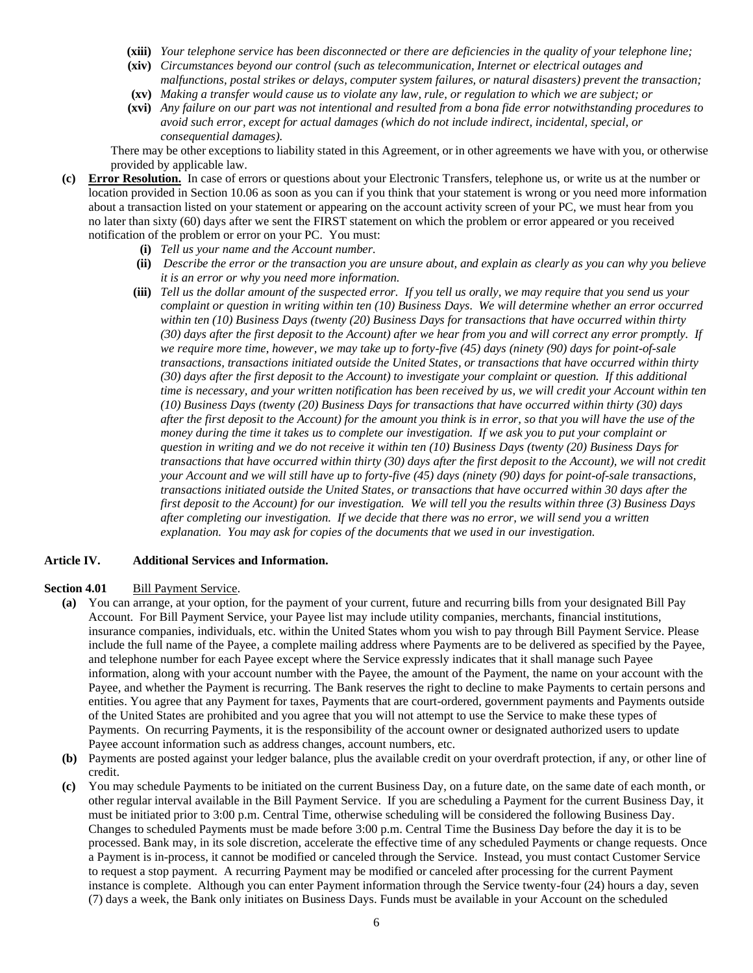- **(xiii)** *Your telephone service has been disconnected or there are deficiencies in the quality of your telephone line;*
- **(xiv)** *Circumstances beyond our control (such as telecommunication, Internet or electrical outages and malfunctions, postal strikes or delays, computer system failures, or natural disasters) prevent the transaction;*
- **(xv)** *Making a transfer would cause us to violate any law, rule, or regulation to which we are subject; or*
- **(xvi)** *Any failure on our part was not intentional and resulted from a bona fide error notwithstanding procedures to avoid such error, except for actual damages (which do not include indirect, incidental, special, or consequential damages).*

There may be other exceptions to liability stated in this Agreement, or in other agreements we have with you, or otherwise provided by applicable law.

- **(c) Error Resolution.** In case of errors or questions about your Electronic Transfers, telephone us, or write us at the number or location provided in [Section 10.06](#page-18-1) as soon as you can if you think that your statement is wrong or you need more information about a transaction listed on your statement or appearing on the account activity screen of your PC, we must hear from you no later than sixty (60) days after we sent the FIRST statement on which the problem or error appeared or you received notification of the problem or error on your PC. You must:
	- **(i)** *Tell us your name and the Account number.*
	- **(ii)** *Describe the error or the transaction you are unsure about, and explain as clearly as you can why you believe it is an error or why you need more information.*
	- **(iii)** *Tell us the dollar amount of the suspected error. If you tell us orally, we may require that you send us your complaint or question in writing within ten (10) Business Days. We will determine whether an error occurred within ten (10) Business Days (twenty (20) Business Days for transactions that have occurred within thirty (30) days after the first deposit to the Account) after we hear from you and will correct any error promptly. If we require more time, however, we may take up to forty-five (45) days (ninety (90) days for point-of-sale transactions, transactions initiated outside the United States, or transactions that have occurred within thirty (30) days after the first deposit to the Account) to investigate your complaint or question. If this additional time is necessary, and your written notification has been received by us, we will credit your Account within ten (10) Business Days (twenty (20) Business Days for transactions that have occurred within thirty (30) days after the first deposit to the Account) for the amount you think is in error, so that you will have the use of the money during the time it takes us to complete our investigation. If we ask you to put your complaint or question in writing and we do not receive it within ten (10) Business Days (twenty (20) Business Days for transactions that have occurred within thirty (30) days after the first deposit to the Account), we will not credit your Account and we will still have up to forty-five (45) days (ninety (90) days for point-of-sale transactions, transactions initiated outside the United States, or transactions that have occurred within 30 days after the first deposit to the Account) for our investigation. We will tell you the results within three (3) Business Days after completing our investigation. If we decide that there was no error, we will send you a written explanation. You may ask for copies of the documents that we used in our investigation.*

#### **Article IV. Additional Services and Information.**

#### **Section 4.01** Bill Payment Service.

- **(a)** You can arrange, at your option, for the payment of your current, future and recurring bills from your designated Bill Pay Account. For Bill Payment Service, your Payee list may include utility companies, merchants, financial institutions, insurance companies, individuals, etc. within the United States whom you wish to pay through Bill Payment Service. Please include the full name of the Payee, a complete mailing address where Payments are to be delivered as specified by the Payee, and telephone number for each Payee except where the Service expressly indicates that it shall manage such Payee information, along with your account number with the Payee, the amount of the Payment, the name on your account with the Payee, and whether the Payment is recurring. The Bank reserves the right to decline to make Payments to certain persons and entities. You agree that any Payment for taxes, Payments that are court-ordered, government payments and Payments outside of the United States are prohibited and you agree that you will not attempt to use the Service to make these types of Payments. On recurring Payments, it is the responsibility of the account owner or designated authorized users to update Payee account information such as address changes, account numbers, etc.
- **(b)** Payments are posted against your ledger balance, plus the available credit on your overdraft protection, if any, or other line of credit.
- **(c)** You may schedule Payments to be initiated on the current Business Day, on a future date, on the same date of each month, or other regular interval available in the Bill Payment Service. If you are scheduling a Payment for the current Business Day, it must be initiated prior to 3:00 p.m. Central Time, otherwise scheduling will be considered the following Business Day. Changes to scheduled Payments must be made before 3:00 p.m. Central Time the Business Day before the day it is to be processed. Bank may, in its sole discretion, accelerate the effective time of any scheduled Payments or change requests. Once a Payment is in-process, it cannot be modified or canceled through the Service. Instead, you must contact Customer Service to request a stop payment. A recurring Payment may be modified or canceled after processing for the current Payment instance is complete. Although you can enter Payment information through the Service twenty-four (24) hours a day, seven (7) days a week, the Bank only initiates on Business Days. Funds must be available in your Account on the scheduled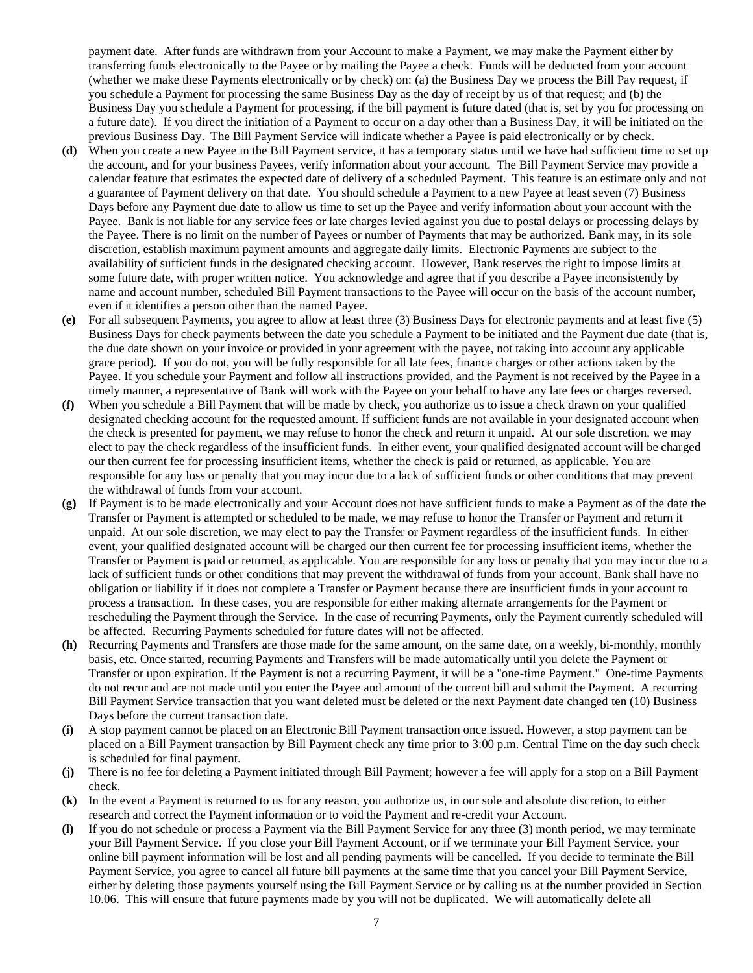payment date. After funds are withdrawn from your Account to make a Payment, we may make the Payment either by transferring funds electronically to the Payee or by mailing the Payee a check. Funds will be deducted from your account (whether we make these Payments electronically or by check) on: (a) the Business Day we process the Bill Pay request, if you schedule a Payment for processing the same Business Day as the day of receipt by us of that request; and (b) the Business Day you schedule a Payment for processing, if the bill payment is future dated (that is, set by you for processing on a future date). If you direct the initiation of a Payment to occur on a day other than a Business Day, it will be initiated on the previous Business Day. The Bill Payment Service will indicate whether a Payee is paid electronically or by check.

- **(d)** When you create a new Payee in the Bill Payment service, it has a temporary status until we have had sufficient time to set up the account, and for your business Payees, verify information about your account. The Bill Payment Service may provide a calendar feature that estimates the expected date of delivery of a scheduled Payment. This feature is an estimate only and not a guarantee of Payment delivery on that date. You should schedule a Payment to a new Payee at least seven (7) Business Days before any Payment due date to allow us time to set up the Payee and verify information about your account with the Payee. Bank is not liable for any service fees or late charges levied against you due to postal delays or processing delays by the Payee. There is no limit on the number of Payees or number of Payments that may be authorized. Bank may, in its sole discretion, establish maximum payment amounts and aggregate daily limits. Electronic Payments are subject to the availability of sufficient funds in the designated checking account. However, Bank reserves the right to impose limits at some future date, with proper written notice. You acknowledge and agree that if you describe a Payee inconsistently by name and account number, scheduled Bill Payment transactions to the Payee will occur on the basis of the account number, even if it identifies a person other than the named Payee.
- **(e)** For all subsequent Payments, you agree to allow at least three (3) Business Days for electronic payments and at least five (5) Business Days for check payments between the date you schedule a Payment to be initiated and the Payment due date (that is, the due date shown on your invoice or provided in your agreement with the payee, not taking into account any applicable grace period). If you do not, you will be fully responsible for all late fees, finance charges or other actions taken by the Payee. If you schedule your Payment and follow all instructions provided, and the Payment is not received by the Payee in a timely manner, a representative of Bank will work with the Payee on your behalf to have any late fees or charges reversed.
- **(f)** When you schedule a Bill Payment that will be made by check, you authorize us to issue a check drawn on your qualified designated checking account for the requested amount. If sufficient funds are not available in your designated account when the check is presented for payment, we may refuse to honor the check and return it unpaid. At our sole discretion, we may elect to pay the check regardless of the insufficient funds. In either event, your qualified designated account will be charged our then current fee for processing insufficient items, whether the check is paid or returned, as applicable. You are responsible for any loss or penalty that you may incur due to a lack of sufficient funds or other conditions that may prevent the withdrawal of funds from your account.
- **(g)** If Payment is to be made electronically and your Account does not have sufficient funds to make a Payment as of the date the Transfer or Payment is attempted or scheduled to be made, we may refuse to honor the Transfer or Payment and return it unpaid. At our sole discretion, we may elect to pay the Transfer or Payment regardless of the insufficient funds. In either event, your qualified designated account will be charged our then current fee for processing insufficient items, whether the Transfer or Payment is paid or returned, as applicable. You are responsible for any loss or penalty that you may incur due to a lack of sufficient funds or other conditions that may prevent the withdrawal of funds from your account. Bank shall have no obligation or liability if it does not complete a Transfer or Payment because there are insufficient funds in your account to process a transaction. In these cases, you are responsible for either making alternate arrangements for the Payment or rescheduling the Payment through the Service. In the case of recurring Payments, only the Payment currently scheduled will be affected. Recurring Payments scheduled for future dates will not be affected.
- **(h)** Recurring Payments and Transfers are those made for the same amount, on the same date, on a weekly, bi-monthly, monthly basis, etc. Once started, recurring Payments and Transfers will be made automatically until you delete the Payment or Transfer or upon expiration. If the Payment is not a recurring Payment, it will be a "one-time Payment." One-time Payments do not recur and are not made until you enter the Payee and amount of the current bill and submit the Payment. A recurring Bill Payment Service transaction that you want deleted must be deleted or the next Payment date changed ten (10) Business Days before the current transaction date.
- **(i)** A stop payment cannot be placed on an Electronic Bill Payment transaction once issued. However, a stop payment can be placed on a Bill Payment transaction by Bill Payment check any time prior to 3:00 p.m. Central Time on the day such check is scheduled for final payment.
- **(j)** There is no fee for deleting a Payment initiated through Bill Payment; however a fee will apply for a stop on a Bill Payment check.
- **(k)** In the event a Payment is returned to us for any reason, you authorize us, in our sole and absolute discretion, to either research and correct the Payment information or to void the Payment and re-credit your Account.
- **(l)** If you do not schedule or process a Payment via the Bill Payment Service for any three (3) month period, we may terminate your Bill Payment Service. If you close your Bill Payment Account, or if we terminate your Bill Payment Service, your online bill payment information will be lost and all pending payments will be cancelled. If you decide to terminate the Bill Payment Service, you agree to cancel all future bill payments at the same time that you cancel your Bill Payment Service, either by deleting those payments yourself using the Bill Payment Service or by calling us at the number provided in [Section](#page-18-1)  [10.06.](#page-18-1) This will ensure that future payments made by you will not be duplicated. We will automatically delete all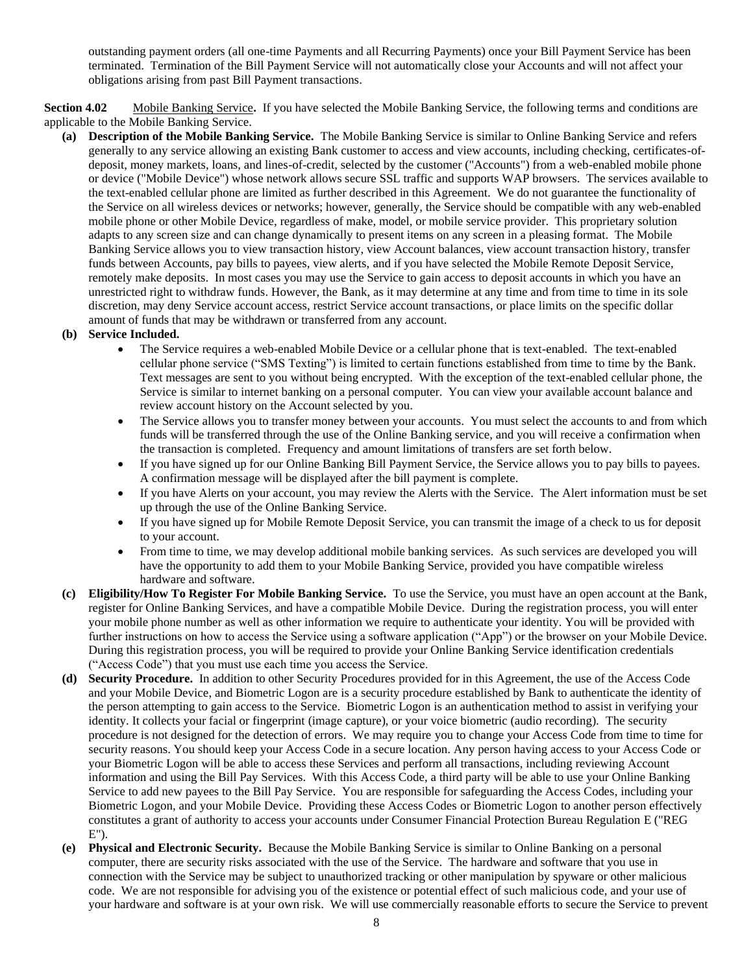outstanding payment orders (all one-time Payments and all Recurring Payments) once your Bill Payment Service has been terminated. Termination of the Bill Payment Service will not automatically close your Accounts and will not affect your obligations arising from past Bill Payment transactions.

**Section 4.02** Mobile Banking Service**.** If you have selected the Mobile Banking Service, the following terms and conditions are applicable to the Mobile Banking Service.

- **(a) Description of the Mobile Banking Service.** The Mobile Banking Service is similar to Online Banking Service and refers generally to any service allowing an existing Bank customer to access and view accounts, including checking, certificates-ofdeposit, money markets, loans, and lines-of-credit, selected by the customer ("Accounts") from a web-enabled mobile phone or device ("Mobile Device") whose network allows secure SSL traffic and supports WAP browsers. The services available to the text-enabled cellular phone are limited as further described in this Agreement. We do not guarantee the functionality of the Service on all wireless devices or networks; however, generally, the Service should be compatible with any web-enabled mobile phone or other Mobile Device, regardless of make, model, or mobile service provider. This proprietary solution adapts to any screen size and can change dynamically to present items on any screen in a pleasing format. The Mobile Banking Service allows you to view transaction history, view Account balances, view account transaction history, transfer funds between Accounts, pay bills to payees, view alerts, and if you have selected the Mobile Remote Deposit Service, remotely make deposits. In most cases you may use the Service to gain access to deposit accounts in which you have an unrestricted right to withdraw funds. However, the Bank, as it may determine at any time and from time to time in its sole discretion, may deny Service account access, restrict Service account transactions, or place limits on the specific dollar amount of funds that may be withdrawn or transferred from any account.
- **(b) Service Included.**
	- The Service requires a web-enabled Mobile Device or a cellular phone that is text-enabled. The text-enabled cellular phone service ("SMS Texting") is limited to certain functions established from time to time by the Bank. Text messages are sent to you without being encrypted. With the exception of the text-enabled cellular phone, the Service is similar to internet banking on a personal computer. You can view your available account balance and review account history on the Account selected by you.
	- The Service allows you to transfer money between your accounts. You must select the accounts to and from which funds will be transferred through the use of the Online Banking service, and you will receive a confirmation when the transaction is completed. Frequency and amount limitations of transfers are set forth below.
	- If you have signed up for our Online Banking Bill Payment Service, the Service allows you to pay bills to payees. A confirmation message will be displayed after the bill payment is complete.
	- If you have Alerts on your account, you may review the Alerts with the Service. The Alert information must be set up through the use of the Online Banking Service.
	- If you have signed up for Mobile Remote Deposit Service, you can transmit the image of a check to us for deposit to your account.
	- From time to time, we may develop additional mobile banking services. As such services are developed you will have the opportunity to add them to your Mobile Banking Service, provided you have compatible wireless hardware and software.
- **(c) Eligibility/How To Register For Mobile Banking Service.** To use the Service, you must have an open account at the Bank, register for Online Banking Services, and have a compatible Mobile Device. During the registration process, you will enter your mobile phone number as well as other information we require to authenticate your identity. You will be provided with further instructions on how to access the Service using a software application ("App") or the browser on your Mobile Device. During this registration process, you will be required to provide your Online Banking Service identification credentials ("Access Code") that you must use each time you access the Service.
- **(d) Security Procedure.** In addition to other Security Procedures provided for in this Agreement, the use of the Access Code and your Mobile Device, and Biometric Logon are is a security procedure established by Bank to authenticate the identity of the person attempting to gain access to the Service. Biometric Logon is an authentication method to assist in verifying your identity. It collects your facial or fingerprint (image capture), or your voice biometric (audio recording). The security procedure is not designed for the detection of errors. We may require you to change your Access Code from time to time for security reasons. You should keep your Access Code in a secure location. Any person having access to your Access Code or your Biometric Logon will be able to access these Services and perform all transactions, including reviewing Account information and using the Bill Pay Services. With this Access Code, a third party will be able to use your Online Banking Service to add new payees to the Bill Pay Service. You are responsible for safeguarding the Access Codes, including your Biometric Logon, and your Mobile Device. Providing these Access Codes or Biometric Logon to another person effectively constitutes a grant of authority to access your accounts under Consumer Financial Protection Bureau Regulation E ("REG E").
- **(e) Physical and Electronic Security.** Because the Mobile Banking Service is similar to Online Banking on a personal computer, there are security risks associated with the use of the Service. The hardware and software that you use in connection with the Service may be subject to unauthorized tracking or other manipulation by spyware or other malicious code. We are not responsible for advising you of the existence or potential effect of such malicious code, and your use of your hardware and software is at your own risk. We will use commercially reasonable efforts to secure the Service to prevent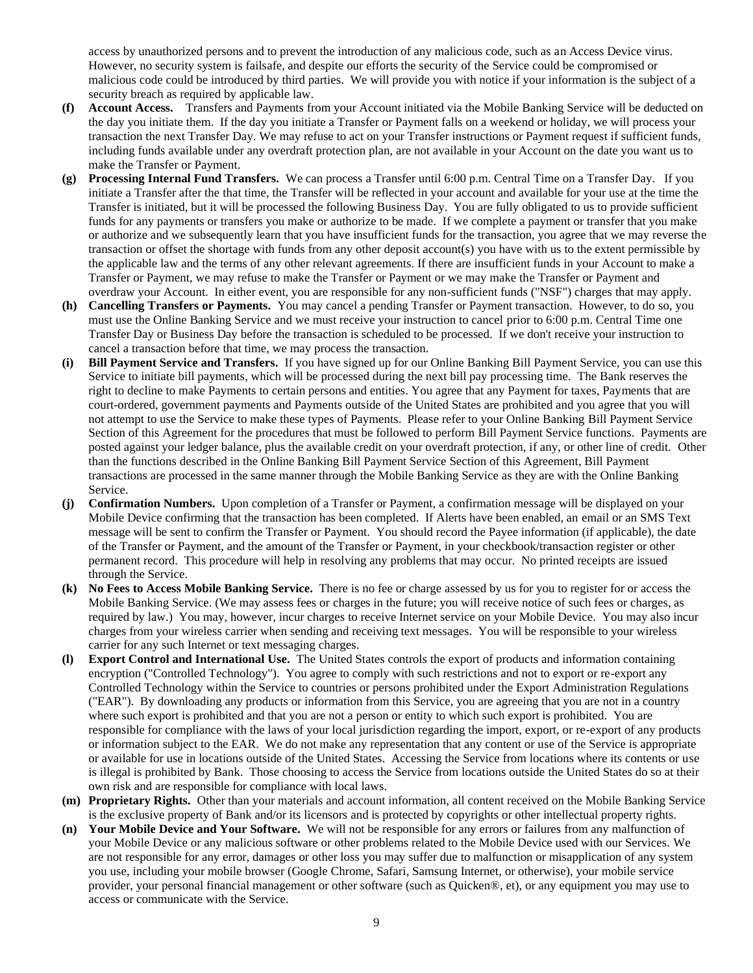access by unauthorized persons and to prevent the introduction of any malicious code, such as an Access Device virus. However, no security system is failsafe, and despite our efforts the security of the Service could be compromised or malicious code could be introduced by third parties. We will provide you with notice if your information is the subject of a security breach as required by applicable law.

- **(f) Account Access.** Transfers and Payments from your Account initiated via the Mobile Banking Service will be deducted on the day you initiate them. If the day you initiate a Transfer or Payment falls on a weekend or holiday, we will process your transaction the next Transfer Day. We may refuse to act on your Transfer instructions or Payment request if sufficient funds, including funds available under any overdraft protection plan, are not available in your Account on the date you want us to make the Transfer or Payment.
- **(g) Processing Internal Fund Transfers.** We can process a Transfer until 6:00 p.m. Central Time on a Transfer Day. If you initiate a Transfer after the that time, the Transfer will be reflected in your account and available for your use at the time the Transfer is initiated, but it will be processed the following Business Day. You are fully obligated to us to provide sufficient funds for any payments or transfers you make or authorize to be made. If we complete a payment or transfer that you make or authorize and we subsequently learn that you have insufficient funds for the transaction, you agree that we may reverse the transaction or offset the shortage with funds from any other deposit account(s) you have with us to the extent permissible by the applicable law and the terms of any other relevant agreements. If there are insufficient funds in your Account to make a Transfer or Payment, we may refuse to make the Transfer or Payment or we may make the Transfer or Payment and overdraw your Account. In either event, you are responsible for any non-sufficient funds ("NSF") charges that may apply.
- **(h) Cancelling Transfers or Payments.** You may cancel a pending Transfer or Payment transaction. However, to do so, you must use the Online Banking Service and we must receive your instruction to cancel prior to 6:00 p.m. Central Time one Transfer Day or Business Day before the transaction is scheduled to be processed. If we don't receive your instruction to cancel a transaction before that time, we may process the transaction.
- **(i) Bill Payment Service and Transfers.** If you have signed up for our Online Banking Bill Payment Service, you can use this Service to initiate bill payments, which will be processed during the next bill pay processing time. The Bank reserves the right to decline to make Payments to certain persons and entities. You agree that any Payment for taxes, Payments that are court-ordered, government payments and Payments outside of the United States are prohibited and you agree that you will not attempt to use the Service to make these types of Payments. Please refer to your Online Banking Bill Payment Service Section of this Agreement for the procedures that must be followed to perform Bill Payment Service functions. Payments are posted against your ledger balance, plus the available credit on your overdraft protection, if any, or other line of credit. Other than the functions described in the Online Banking Bill Payment Service Section of this Agreement, Bill Payment transactions are processed in the same manner through the Mobile Banking Service as they are with the Online Banking Service.
- **(j) Confirmation Numbers.** Upon completion of a Transfer or Payment, a confirmation message will be displayed on your Mobile Device confirming that the transaction has been completed. If Alerts have been enabled, an email or an SMS Text message will be sent to confirm the Transfer or Payment. You should record the Payee information (if applicable), the date of the Transfer or Payment, and the amount of the Transfer or Payment, in your checkbook/transaction register or other permanent record. This procedure will help in resolving any problems that may occur. No printed receipts are issued through the Service.
- **(k) No Fees to Access Mobile Banking Service.** There is no fee or charge assessed by us for you to register for or access the Mobile Banking Service. (We may assess fees or charges in the future; you will receive notice of such fees or charges, as required by law.) You may, however, incur charges to receive Internet service on your Mobile Device. You may also incur charges from your wireless carrier when sending and receiving text messages. You will be responsible to your wireless carrier for any such Internet or text messaging charges.
- **(l) Export Control and International Use.** The United States controls the export of products and information containing encryption ("Controlled Technology"). You agree to comply with such restrictions and not to export or re-export any Controlled Technology within the Service to countries or persons prohibited under the Export Administration Regulations ("EAR"). By downloading any products or information from this Service, you are agreeing that you are not in a country where such export is prohibited and that you are not a person or entity to which such export is prohibited. You are responsible for compliance with the laws of your local jurisdiction regarding the import, export, or re-export of any products or information subject to the EAR. We do not make any representation that any content or use of the Service is appropriate or available for use in locations outside of the United States. Accessing the Service from locations where its contents or use is illegal is prohibited by Bank. Those choosing to access the Service from locations outside the United States do so at their own risk and are responsible for compliance with local laws.
- **(m) Proprietary Rights.** Other than your materials and account information, all content received on the Mobile Banking Service is the exclusive property of Bank and/or its licensors and is protected by copyrights or other intellectual property rights.
- **(n) Your Mobile Device and Your Software.** We will not be responsible for any errors or failures from any malfunction of your Mobile Device or any malicious software or other problems related to the Mobile Device used with our Services. We are not responsible for any error, damages or other loss you may suffer due to malfunction or misapplication of any system you use, including your mobile browser (Google Chrome, Safari, Samsung Internet, or otherwise), your mobile service provider, your personal financial management or other software (such as Quicken®, et), or any equipment you may use to access or communicate with the Service.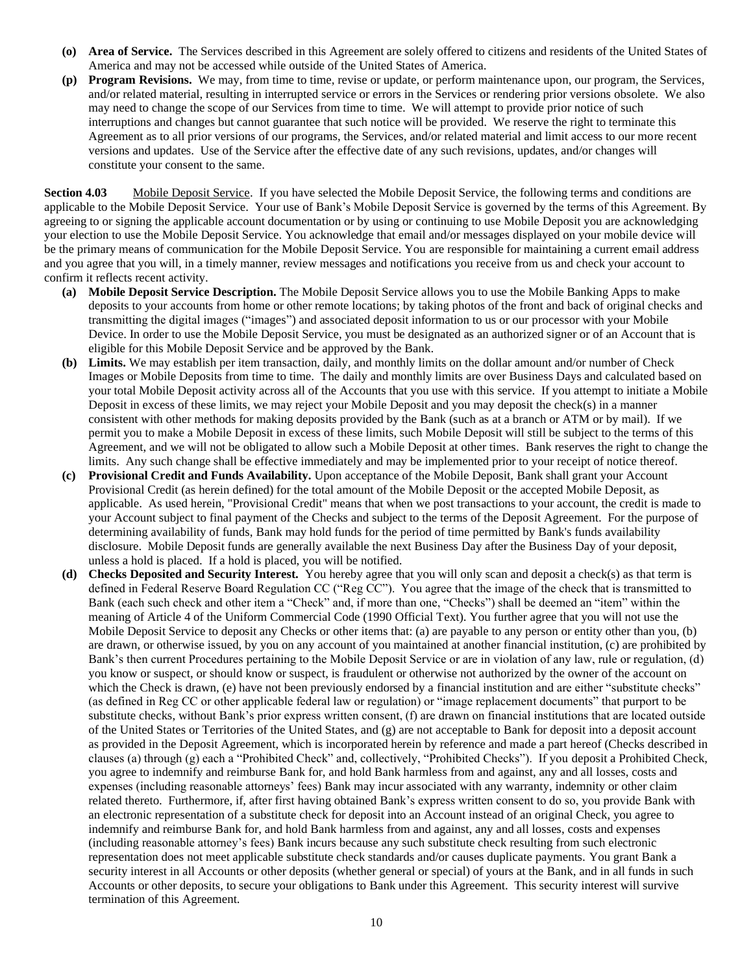- **(o) Area of Service.** The Services described in this Agreement are solely offered to citizens and residents of the United States of America and may not be accessed while outside of the United States of America.
- **(p) Program Revisions.** We may, from time to time, revise or update, or perform maintenance upon, our program, the Services, and/or related material, resulting in interrupted service or errors in the Services or rendering prior versions obsolete. We also may need to change the scope of our Services from time to time. We will attempt to provide prior notice of such interruptions and changes but cannot guarantee that such notice will be provided. We reserve the right to terminate this Agreement as to all prior versions of our programs, the Services, and/or related material and limit access to our more recent versions and updates. Use of the Service after the effective date of any such revisions, updates, and/or changes will constitute your consent to the same.

**Section 4.03** Mobile Deposit Service. If you have selected the Mobile Deposit Service, the following terms and conditions are applicable to the Mobile Deposit Service. Your use of Bank's Mobile Deposit Service is governed by the terms of this Agreement. By agreeing to or signing the applicable account documentation or by using or continuing to use Mobile Deposit you are acknowledging your election to use the Mobile Deposit Service. You acknowledge that email and/or messages displayed on your mobile device will be the primary means of communication for the Mobile Deposit Service. You are responsible for maintaining a current email address and you agree that you will, in a timely manner, review messages and notifications you receive from us and check your account to confirm it reflects recent activity.

- **(a) Mobile Deposit Service Description.** The Mobile Deposit Service allows you to use the Mobile Banking Apps to make deposits to your accounts from home or other remote locations; by taking photos of the front and back of original checks and transmitting the digital images ("images") and associated deposit information to us or our processor with your Mobile Device. In order to use the Mobile Deposit Service, you must be designated as an authorized signer or of an Account that is eligible for this Mobile Deposit Service and be approved by the Bank.
- **(b) Limits.** We may establish per item transaction, daily, and monthly limits on the dollar amount and/or number of Check Images or Mobile Deposits from time to time. The daily and monthly limits are over Business Days and calculated based on your total Mobile Deposit activity across all of the Accounts that you use with this service. If you attempt to initiate a Mobile Deposit in excess of these limits, we may reject your Mobile Deposit and you may deposit the check(s) in a manner consistent with other methods for making deposits provided by the Bank (such as at a branch or ATM or by mail). If we permit you to make a Mobile Deposit in excess of these limits, such Mobile Deposit will still be subject to the terms of this Agreement, and we will not be obligated to allow such a Mobile Deposit at other times. Bank reserves the right to change the limits. Any such change shall be effective immediately and may be implemented prior to your receipt of notice thereof.
- **(c) Provisional Credit and Funds Availability.** Upon acceptance of the Mobile Deposit, Bank shall grant your Account Provisional Credit (as herein defined) for the total amount of the Mobile Deposit or the accepted Mobile Deposit, as applicable. As used herein, "Provisional Credit" means that when we post transactions to your account, the credit is made to your Account subject to final payment of the Checks and subject to the terms of the Deposit Agreement. For the purpose of determining availability of funds, Bank may hold funds for the period of time permitted by Bank's funds availability disclosure. Mobile Deposit funds are generally available the next Business Day after the Business Day of your deposit, unless a hold is placed. If a hold is placed, you will be notified.
- **(d) Checks Deposited and Security Interest.** You hereby agree that you will only scan and deposit a check(s) as that term is defined in Federal Reserve Board Regulation CC ("Reg CC"). You agree that the image of the check that is transmitted to Bank (each such check and other item a "Check" and, if more than one, "Checks") shall be deemed an "item" within the meaning of Article 4 of the Uniform Commercial Code (1990 Official Text). You further agree that you will not use the Mobile Deposit Service to deposit any Checks or other items that: (a) are payable to any person or entity other than you, (b) are drawn, or otherwise issued, by you on any account of you maintained at another financial institution, (c) are prohibited by Bank's then current Procedures pertaining to the Mobile Deposit Service or are in violation of any law, rule or regulation, (d) you know or suspect, or should know or suspect, is fraudulent or otherwise not authorized by the owner of the account on which the Check is drawn, (e) have not been previously endorsed by a financial institution and are either "substitute checks" (as defined in Reg CC or other applicable federal law or regulation) or "image replacement documents" that purport to be substitute checks, without Bank's prior express written consent, (f) are drawn on financial institutions that are located outside of the United States or Territories of the United States, and (g) are not acceptable to Bank for deposit into a deposit account as provided in the Deposit Agreement, which is incorporated herein by reference and made a part hereof (Checks described in clauses (a) through (g) each a "Prohibited Check" and, collectively, "Prohibited Checks"). If you deposit a Prohibited Check, you agree to indemnify and reimburse Bank for, and hold Bank harmless from and against, any and all losses, costs and expenses (including reasonable attorneys' fees) Bank may incur associated with any warranty, indemnity or other claim related thereto. Furthermore, if, after first having obtained Bank's express written consent to do so, you provide Bank with an electronic representation of a substitute check for deposit into an Account instead of an original Check, you agree to indemnify and reimburse Bank for, and hold Bank harmless from and against, any and all losses, costs and expenses (including reasonable attorney's fees) Bank incurs because any such substitute check resulting from such electronic representation does not meet applicable substitute check standards and/or causes duplicate payments. You grant Bank a security interest in all Accounts or other deposits (whether general or special) of yours at the Bank, and in all funds in such Accounts or other deposits, to secure your obligations to Bank under this Agreement. This security interest will survive termination of this Agreement.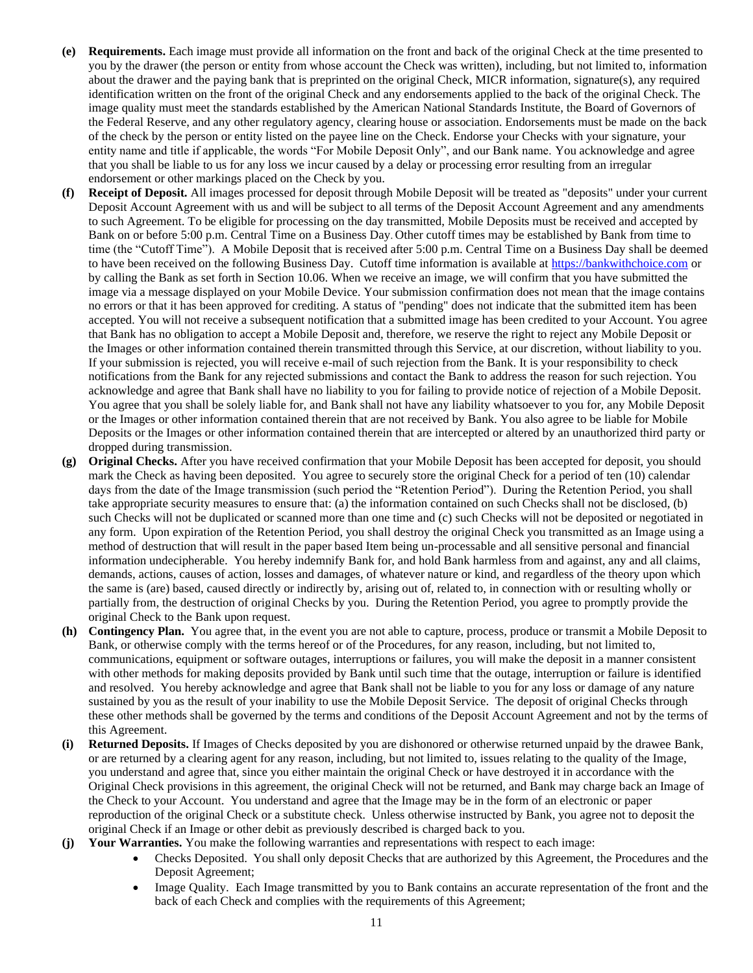- **(e) Requirements.** Each image must provide all information on the front and back of the original Check at the time presented to you by the drawer (the person or entity from whose account the Check was written), including, but not limited to, information about the drawer and the paying bank that is preprinted on the original Check, MICR information, signature(s), any required identification written on the front of the original Check and any endorsements applied to the back of the original Check. The image quality must meet the standards established by the American National Standards Institute, the Board of Governors of the Federal Reserve, and any other regulatory agency, clearing house or association. Endorsements must be made on the back of the check by the person or entity listed on the payee line on the Check. Endorse your Checks with your signature, your entity name and title if applicable, the words "For Mobile Deposit Only", and our Bank name. You acknowledge and agree that you shall be liable to us for any loss we incur caused by a delay or processing error resulting from an irregular endorsement or other markings placed on the Check by you.
- **(f) Receipt of Deposit.** All images processed for deposit through Mobile Deposit will be treated as "deposits" under your current Deposit Account Agreement with us and will be subject to all terms of the Deposit Account Agreement and any amendments to such Agreement. To be eligible for processing on the day transmitted, Mobile Deposits must be received and accepted by Bank on or before 5:00 p.m. Central Time on a Business Day. Other cutoff times may be established by Bank from time to time (the "Cutoff Time"). A Mobile Deposit that is received after 5:00 p.m. Central Time on a Business Day shall be deemed to have been received on the following Business Day. Cutoff time information is available at [https://bankwithchoice.com](https://bankwithchoice.com/) or by calling the Bank as set forth in [Section 10.06.](#page-18-1) When we receive an image, we will confirm that you have submitted the image via a message displayed on your Mobile Device. Your submission confirmation does not mean that the image contains no errors or that it has been approved for crediting. A status of "pending" does not indicate that the submitted item has been accepted. You will not receive a subsequent notification that a submitted image has been credited to your Account. You agree that Bank has no obligation to accept a Mobile Deposit and, therefore, we reserve the right to reject any Mobile Deposit or the Images or other information contained therein transmitted through this Service, at our discretion, without liability to you. If your submission is rejected, you will receive e-mail of such rejection from the Bank. It is your responsibility to check notifications from the Bank for any rejected submissions and contact the Bank to address the reason for such rejection. You acknowledge and agree that Bank shall have no liability to you for failing to provide notice of rejection of a Mobile Deposit. You agree that you shall be solely liable for, and Bank shall not have any liability whatsoever to you for, any Mobile Deposit or the Images or other information contained therein that are not received by Bank. You also agree to be liable for Mobile Deposits or the Images or other information contained therein that are intercepted or altered by an unauthorized third party or dropped during transmission.
- **(g) Original Checks.** After you have received confirmation that your Mobile Deposit has been accepted for deposit, you should mark the Check as having been deposited. You agree to securely store the original Check for a period of ten (10) calendar days from the date of the Image transmission (such period the "Retention Period"). During the Retention Period, you shall take appropriate security measures to ensure that: (a) the information contained on such Checks shall not be disclosed, (b) such Checks will not be duplicated or scanned more than one time and (c) such Checks will not be deposited or negotiated in any form. Upon expiration of the Retention Period, you shall destroy the original Check you transmitted as an Image using a method of destruction that will result in the paper based Item being un-processable and all sensitive personal and financial information undecipherable. You hereby indemnify Bank for, and hold Bank harmless from and against, any and all claims, demands, actions, causes of action, losses and damages, of whatever nature or kind, and regardless of the theory upon which the same is (are) based, caused directly or indirectly by, arising out of, related to, in connection with or resulting wholly or partially from, the destruction of original Checks by you. During the Retention Period, you agree to promptly provide the original Check to the Bank upon request.
- **(h) Contingency Plan.** You agree that, in the event you are not able to capture, process, produce or transmit a Mobile Deposit to Bank, or otherwise comply with the terms hereof or of the Procedures, for any reason, including, but not limited to, communications, equipment or software outages, interruptions or failures, you will make the deposit in a manner consistent with other methods for making deposits provided by Bank until such time that the outage, interruption or failure is identified and resolved. You hereby acknowledge and agree that Bank shall not be liable to you for any loss or damage of any nature sustained by you as the result of your inability to use the Mobile Deposit Service. The deposit of original Checks through these other methods shall be governed by the terms and conditions of the Deposit Account Agreement and not by the terms of this Agreement.
- **(i) Returned Deposits.** If Images of Checks deposited by you are dishonored or otherwise returned unpaid by the drawee Bank, or are returned by a clearing agent for any reason, including, but not limited to, issues relating to the quality of the Image, you understand and agree that, since you either maintain the original Check or have destroyed it in accordance with the Original Check provisions in this agreement, the original Check will not be returned, and Bank may charge back an Image of the Check to your Account. You understand and agree that the Image may be in the form of an electronic or paper reproduction of the original Check or a substitute check. Unless otherwise instructed by Bank, you agree not to deposit the original Check if an Image or other debit as previously described is charged back to you.
- **(j) Your Warranties.** You make the following warranties and representations with respect to each image:
	- Checks Deposited. You shall only deposit Checks that are authorized by this Agreement, the Procedures and the Deposit Agreement;
	- Image Quality. Each Image transmitted by you to Bank contains an accurate representation of the front and the back of each Check and complies with the requirements of this Agreement;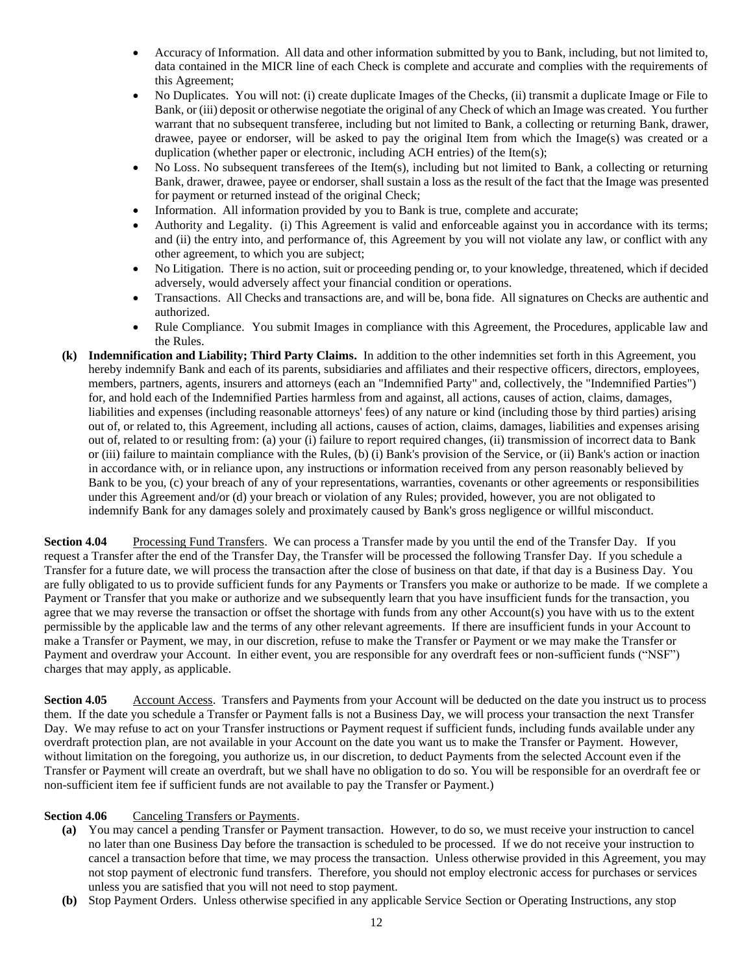- Accuracy of Information. All data and other information submitted by you to Bank, including, but not limited to, data contained in the MICR line of each Check is complete and accurate and complies with the requirements of this Agreement;
- No Duplicates. You will not: (i) create duplicate Images of the Checks, (ii) transmit a duplicate Image or File to Bank, or (iii) deposit or otherwise negotiate the original of any Check of which an Image was created. You further warrant that no subsequent transferee, including but not limited to Bank, a collecting or returning Bank, drawer, drawee, payee or endorser, will be asked to pay the original Item from which the Image(s) was created or a duplication (whether paper or electronic, including ACH entries) of the Item(s);
- No Loss. No subsequent transferees of the Item(s), including but not limited to Bank, a collecting or returning Bank, drawer, drawee, payee or endorser, shall sustain a loss as the result of the fact that the Image was presented for payment or returned instead of the original Check;
- Information. All information provided by you to Bank is true, complete and accurate;
- Authority and Legality. (i) This Agreement is valid and enforceable against you in accordance with its terms; and (ii) the entry into, and performance of, this Agreement by you will not violate any law, or conflict with any other agreement, to which you are subject;
- No Litigation. There is no action, suit or proceeding pending or, to your knowledge, threatened, which if decided adversely, would adversely affect your financial condition or operations.
- Transactions. All Checks and transactions are, and will be, bona fide. All signatures on Checks are authentic and authorized.
- Rule Compliance. You submit Images in compliance with this Agreement, the Procedures, applicable law and the Rules.
- **(k) Indemnification and Liability; Third Party Claims.** In addition to the other indemnities set forth in this Agreement, you hereby indemnify Bank and each of its parents, subsidiaries and affiliates and their respective officers, directors, employees, members, partners, agents, insurers and attorneys (each an "Indemnified Party" and, collectively, the "Indemnified Parties") for, and hold each of the Indemnified Parties harmless from and against, all actions, causes of action, claims, damages, liabilities and expenses (including reasonable attorneys' fees) of any nature or kind (including those by third parties) arising out of, or related to, this Agreement, including all actions, causes of action, claims, damages, liabilities and expenses arising out of, related to or resulting from: (a) your (i) failure to report required changes, (ii) transmission of incorrect data to Bank or (iii) failure to maintain compliance with the Rules, (b) (i) Bank's provision of the Service, or (ii) Bank's action or inaction in accordance with, or in reliance upon, any instructions or information received from any person reasonably believed by Bank to be you, (c) your breach of any of your representations, warranties, covenants or other agreements or responsibilities under this Agreement and/or (d) your breach or violation of any Rules; provided, however, you are not obligated to indemnify Bank for any damages solely and proximately caused by Bank's gross negligence or willful misconduct.

**Section 4.04** Processing Fund Transfers. We can process a Transfer made by you until the end of the Transfer Day. If you request a Transfer after the end of the Transfer Day, the Transfer will be processed the following Transfer Day. If you schedule a Transfer for a future date, we will process the transaction after the close of business on that date, if that day is a Business Day. You are fully obligated to us to provide sufficient funds for any Payments or Transfers you make or authorize to be made. If we complete a Payment or Transfer that you make or authorize and we subsequently learn that you have insufficient funds for the transaction, you agree that we may reverse the transaction or offset the shortage with funds from any other Account(s) you have with us to the extent permissible by the applicable law and the terms of any other relevant agreements. If there are insufficient funds in your Account to make a Transfer or Payment, we may, in our discretion, refuse to make the Transfer or Payment or we may make the Transfer or Payment and overdraw your Account. In either event, you are responsible for any overdraft fees or non-sufficient funds ("NSF") charges that may apply, as applicable.

**Section 4.05** Account Access. Transfers and Payments from your Account will be deducted on the date you instruct us to process them. If the date you schedule a Transfer or Payment falls is not a Business Day, we will process your transaction the next Transfer Day. We may refuse to act on your Transfer instructions or Payment request if sufficient funds, including funds available under any overdraft protection plan, are not available in your Account on the date you want us to make the Transfer or Payment. However, without limitation on the foregoing, you authorize us, in our discretion, to deduct Payments from the selected Account even if the Transfer or Payment will create an overdraft, but we shall have no obligation to do so. You will be responsible for an overdraft fee or non-sufficient item fee if sufficient funds are not available to pay the Transfer or Payment.)

# **Section 4.06** Canceling Transfers or Payments.

- **(a)** You may cancel a pending Transfer or Payment transaction. However, to do so, we must receive your instruction to cancel no later than one Business Day before the transaction is scheduled to be processed. If we do not receive your instruction to cancel a transaction before that time, we may process the transaction. Unless otherwise provided in this Agreement, you may not stop payment of electronic fund transfers. Therefore, you should not employ electronic access for purchases or services unless you are satisfied that you will not need to stop payment.
- **(b)** Stop Payment Orders. Unless otherwise specified in any applicable Service Section or Operating Instructions, any stop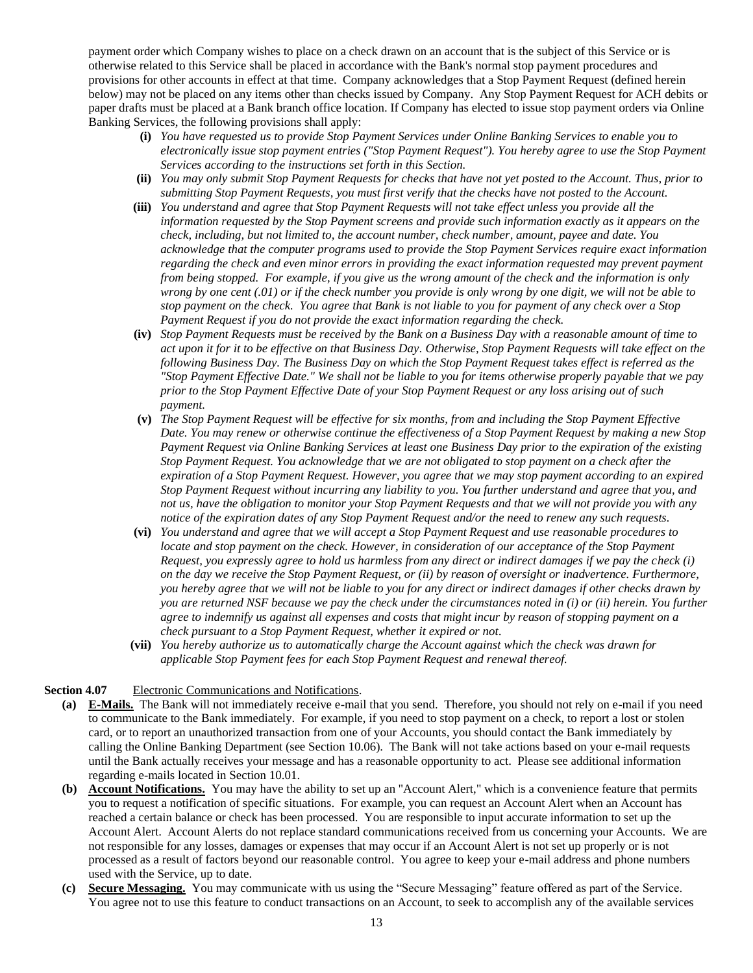payment order which Company wishes to place on a check drawn on an account that is the subject of this Service or is otherwise related to this Service shall be placed in accordance with the Bank's normal stop payment procedures and provisions for other accounts in effect at that time. Company acknowledges that a Stop Payment Request (defined herein below) may not be placed on any items other than checks issued by Company. Any Stop Payment Request for ACH debits or paper drafts must be placed at a Bank branch office location. If Company has elected to issue stop payment orders via Online Banking Services, the following provisions shall apply:

- **(i)** *You have requested us to provide Stop Payment Services under Online Banking Services to enable you to electronically issue stop payment entries ("Stop Payment Request"). You hereby agree to use the Stop Payment Services according to the instructions set forth in this Section.*
- **(ii)** *You may only submit Stop Payment Requests for checks that have not yet posted to the Account. Thus, prior to submitting Stop Payment Requests, you must first verify that the checks have not posted to the Account.*
- **(iii)** *You understand and agree that Stop Payment Requests will not take effect unless you provide all the information requested by the Stop Payment screens and provide such information exactly as it appears on the check, including, but not limited to, the account number, check number, amount, payee and date. You acknowledge that the computer programs used to provide the Stop Payment Services require exact information regarding the check and even minor errors in providing the exact information requested may prevent payment from being stopped. For example, if you give us the wrong amount of the check and the information is only wrong by one cent (.01) or if the check number you provide is only wrong by one digit, we will not be able to stop payment on the check. You agree that Bank is not liable to you for payment of any check over a Stop Payment Request if you do not provide the exact information regarding the check.*
- **(iv)** *Stop Payment Requests must be received by the Bank on a Business Day with a reasonable amount of time to act upon it for it to be effective on that Business Day. Otherwise, Stop Payment Requests will take effect on the following Business Day. The Business Day on which the Stop Payment Request takes effect is referred as the "Stop Payment Effective Date." We shall not be liable to you for items otherwise properly payable that we pay prior to the Stop Payment Effective Date of your Stop Payment Request or any loss arising out of such payment.*
- **(v)** *The Stop Payment Request will be effective for six months, from and including the Stop Payment Effective Date. You may renew or otherwise continue the effectiveness of a Stop Payment Request by making a new Stop Payment Request via Online Banking Services at least one Business Day prior to the expiration of the existing Stop Payment Request. You acknowledge that we are not obligated to stop payment on a check after the expiration of a Stop Payment Request. However, you agree that we may stop payment according to an expired Stop Payment Request without incurring any liability to you. You further understand and agree that you, and not us, have the obligation to monitor your Stop Payment Requests and that we will not provide you with any notice of the expiration dates of any Stop Payment Request and/or the need to renew any such requests.*
- **(vi)** *You understand and agree that we will accept a Stop Payment Request and use reasonable procedures to locate and stop payment on the check. However, in consideration of our acceptance of the Stop Payment Request, you expressly agree to hold us harmless from any direct or indirect damages if we pay the check (i) on the day we receive the Stop Payment Request, or (ii) by reason of oversight or inadvertence. Furthermore, you hereby agree that we will not be liable to you for any direct or indirect damages if other checks drawn by you are returned NSF because we pay the check under the circumstances noted in (i) or (ii) herein. You further agree to indemnify us against all expenses and costs that might incur by reason of stopping payment on a check pursuant to a Stop Payment Request, whether it expired or not.*
- **(vii)** *You hereby authorize us to automatically charge the Account against which the check was drawn for applicable Stop Payment fees for each Stop Payment Request and renewal thereof.*

# <span id="page-12-0"></span>**Section 4.07** Electronic Communications and Notifications.

- **(a) E-Mails.** The Bank will not immediately receive e-mail that you send. Therefore, you should not rely on e-mail if you need to communicate to the Bank immediately. For example, if you need to stop payment on a check, to report a lost or stolen card, or to report an unauthorized transaction from one of your Accounts, you should contact the Bank immediately by calling the Online Banking Department (see [Section 10.06\)](#page-18-1). The Bank will not take actions based on your e-mail requests until the Bank actually receives your message and has a reasonable opportunity to act. Please see additional information regarding e-mails located in [Section 10.01.](#page-17-1)
- **(b) Account Notifications.** You may have the ability to set up an "Account Alert," which is a convenience feature that permits you to request a notification of specific situations. For example, you can request an Account Alert when an Account has reached a certain balance or check has been processed. You are responsible to input accurate information to set up the Account Alert. Account Alerts do not replace standard communications received from us concerning your Accounts. We are not responsible for any losses, damages or expenses that may occur if an Account Alert is not set up properly or is not processed as a result of factors beyond our reasonable control. You agree to keep your e-mail address and phone numbers used with the Service, up to date.
- **(c) Secure Messaging.** You may communicate with us using the "Secure Messaging" feature offered as part of the Service. You agree not to use this feature to conduct transactions on an Account, to seek to accomplish any of the available services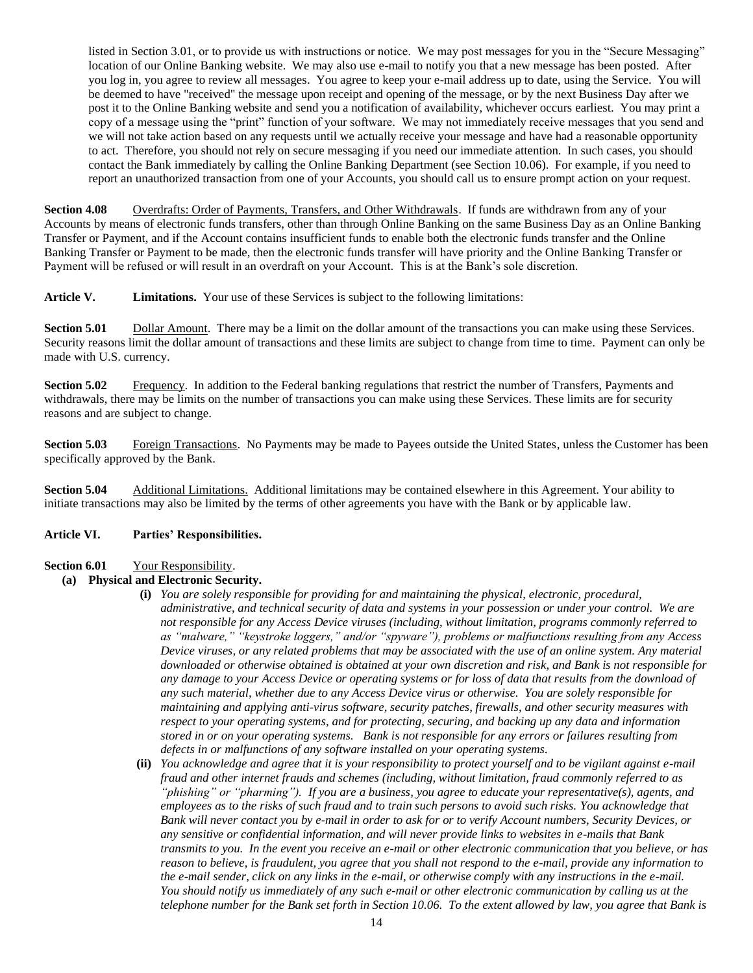listed i[n Section 3.01,](#page-3-0) or to provide us with instructions or notice. We may post messages for you in the "Secure Messaging" location of our Online Banking website. We may also use e-mail to notify you that a new message has been posted. After you log in, you agree to review all messages. You agree to keep your e-mail address up to date, using the Service. You will be deemed to have "received" the message upon receipt and opening of the message, or by the next Business Day after we post it to the Online Banking website and send you a notification of availability, whichever occurs earliest. You may print a copy of a message using the "print" function of your software. We may not immediately receive messages that you send and we will not take action based on any requests until we actually receive your message and have had a reasonable opportunity to act. Therefore, you should not rely on secure messaging if you need our immediate attention. In such cases, you should contact the Bank immediately by calling the Online Banking Department (se[e Section 10.06\)](#page-18-1). For example, if you need to report an unauthorized transaction from one of your Accounts, you should call us to ensure prompt action on your request.

**Section 4.08** Overdrafts: Order of Payments, Transfers, and Other Withdrawals. If funds are withdrawn from any of your Accounts by means of electronic funds transfers, other than through Online Banking on the same Business Day as an Online Banking Transfer or Payment, and if the Account contains insufficient funds to enable both the electronic funds transfer and the Online Banking Transfer or Payment to be made, then the electronic funds transfer will have priority and the Online Banking Transfer or Payment will be refused or will result in an overdraft on your Account. This is at the Bank's sole discretion.

**Article V. Limitations.** Your use of these Services is subject to the following limitations:

**Section 5.01** Dollar Amount. There may be a limit on the dollar amount of the transactions you can make using these Services. Security reasons limit the dollar amount of transactions and these limits are subject to change from time to time. Payment can only be made with U.S. currency.

**Section 5.02** Frequency. In addition to the Federal banking regulations that restrict the number of Transfers, Payments and withdrawals, there may be limits on the number of transactions you can make using these Services. These limits are for security reasons and are subject to change.

**Section 5.03** Foreign Transactions. No Payments may be made to Payees outside the United States, unless the Customer has been specifically approved by the Bank.

**Section 5.04** Additional Limitations. Additional limitations may be contained elsewhere in this Agreement. Your ability to initiate transactions may also be limited by the terms of other agreements you have with the Bank or by applicable law.

#### **Article VI. Parties' Responsibilities.**

# Section 6.01 Your Responsibility.

# **(a) Physical and Electronic Security.**

- **(i)** *You are solely responsible for providing for and maintaining the physical, electronic, procedural, administrative, and technical security of data and systems in your possession or under your control. We are not responsible for any Access Device viruses (including, without limitation, programs commonly referred to as "malware," "keystroke loggers," and/or "spyware"), problems or malfunctions resulting from any Access Device viruses, or any related problems that may be associated with the use of an online system. Any material downloaded or otherwise obtained is obtained at your own discretion and risk, and Bank is not responsible for any damage to your Access Device or operating systems or for loss of data that results from the download of any such material, whether due to any Access Device virus or otherwise. You are solely responsible for maintaining and applying anti-virus software, security patches, firewalls, and other security measures with respect to your operating systems, and for protecting, securing, and backing up any data and information stored in or on your operating systems. Bank is not responsible for any errors or failures resulting from defects in or malfunctions of any software installed on your operating systems.*
- **(ii)** *You acknowledge and agree that it is your responsibility to protect yourself and to be vigilant against e-mail fraud and other internet frauds and schemes (including, without limitation, fraud commonly referred to as "phishing" or "pharming"). If you are a business, you agree to educate your representative(s), agents, and employees as to the risks of such fraud and to train such persons to avoid such risks. You acknowledge that Bank will never contact you by e-mail in order to ask for or to verify Account numbers, Security Devices, or any sensitive or confidential information, and will never provide links to websites in e-mails that Bank transmits to you. In the event you receive an e-mail or other electronic communication that you believe, or has reason to believe, is fraudulent, you agree that you shall not respond to the e-mail, provide any information to the e-mail sender, click on any links in the e-mail, or otherwise comply with any instructions in the e-mail. You should notify us immediately of any such e-mail or other electronic communication by calling us at the telephone number for the Bank set forth i[n Section 10.06.](#page-18-1) To the extent allowed by law, you agree that Bank is*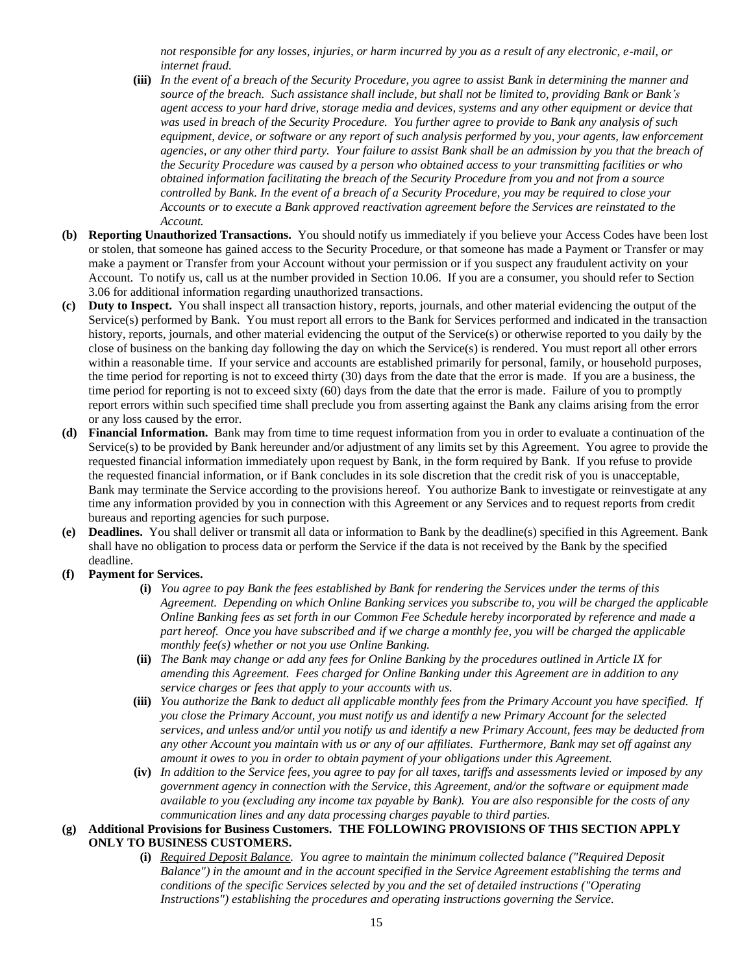*not responsible for any losses, injuries, or harm incurred by you as a result of any electronic, e-mail, or internet fraud.*

- **(iii)** *In the event of a breach of the Security Procedure, you agree to assist Bank in determining the manner and source of the breach. Such assistance shall include, but shall not be limited to, providing Bank or Bank's agent access to your hard drive, storage media and devices, systems and any other equipment or device that was used in breach of the Security Procedure. You further agree to provide to Bank any analysis of such equipment, device, or software or any report of such analysis performed by you, your agents, law enforcement agencies, or any other third party. Your failure to assist Bank shall be an admission by you that the breach of the Security Procedure was caused by a person who obtained access to your transmitting facilities or who obtained information facilitating the breach of the Security Procedure from you and not from a source controlled by Bank. In the event of a breach of a Security Procedure, you may be required to close your Accounts or to execute a Bank approved reactivation agreement before the Services are reinstated to the Account.*
- **(b) Reporting Unauthorized Transactions.** You should notify us immediately if you believe your Access Codes have been lost or stolen, that someone has gained access to the Security Procedure, or that someone has made a Payment or Transfer or may make a payment or Transfer from your Account without your permission or if you suspect any fraudulent activity on your Account. To notify us, call us at the number provided in [Section 10.06.](#page-18-1) If you are a consumer, you should refer t[o Section](#page-4-0)  [3.06](#page-4-0) for additional information regarding unauthorized transactions.
- **(c) Duty to Inspect.** You shall inspect all transaction history, reports, journals, and other material evidencing the output of the Service(s) performed by Bank. You must report all errors to the Bank for Services performed and indicated in the transaction history, reports, journals, and other material evidencing the output of the Service(s) or otherwise reported to you daily by the close of business on the banking day following the day on which the Service(s) is rendered. You must report all other errors within a reasonable time. If your service and accounts are established primarily for personal, family, or household purposes, the time period for reporting is not to exceed thirty (30) days from the date that the error is made. If you are a business, the time period for reporting is not to exceed sixty (60) days from the date that the error is made. Failure of you to promptly report errors within such specified time shall preclude you from asserting against the Bank any claims arising from the error or any loss caused by the error.
- **(d) Financial Information.** Bank may from time to time request information from you in order to evaluate a continuation of the Service(s) to be provided by Bank hereunder and/or adjustment of any limits set by this Agreement. You agree to provide the requested financial information immediately upon request by Bank, in the form required by Bank. If you refuse to provide the requested financial information, or if Bank concludes in its sole discretion that the credit risk of you is unacceptable, Bank may terminate the Service according to the provisions hereof. You authorize Bank to investigate or reinvestigate at any time any information provided by you in connection with this Agreement or any Services and to request reports from credit bureaus and reporting agencies for such purpose.
- **(e) Deadlines.** You shall deliver or transmit all data or information to Bank by the deadline(s) specified in this Agreement. Bank shall have no obligation to process data or perform the Service if the data is not received by the Bank by the specified deadline.
- **(f) Payment for Services.** 
	- **(i)** *You agree to pay Bank the fees established by Bank for rendering the Services under the terms of this Agreement. Depending on which Online Banking services you subscribe to, you will be charged the applicable Online Banking fees as set forth in our Common Fee Schedule hereby incorporated by reference and made a part hereof. Once you have subscribed and if we charge a monthly fee, you will be charged the applicable monthly fee(s) whether or not you use Online Banking.*
	- **(ii)** *The Bank may change or add any fees for Online Banking by the procedures outlined in [Article IX](#page-17-0) for amending this Agreement. Fees charged for Online Banking under this Agreement are in addition to any service charges or fees that apply to your accounts with us.*
	- **(iii)** *You authorize the Bank to deduct all applicable monthly fees from the Primary Account you have specified. If you close the Primary Account, you must notify us and identify a new Primary Account for the selected services, and unless and/or until you notify us and identify a new Primary Account, fees may be deducted from any other Account you maintain with us or any of our affiliates. Furthermore, Bank may set off against any amount it owes to you in order to obtain payment of your obligations under this Agreement.*
	- **(iv)** *In addition to the Service fees, you agree to pay for all taxes, tariffs and assessments levied or imposed by any government agency in connection with the Service, this Agreement, and/or the software or equipment made available to you (excluding any income tax payable by Bank). You are also responsible for the costs of any communication lines and any data processing charges payable to third parties.*

# **(g) Additional Provisions for Business Customers. THE FOLLOWING PROVISIONS OF THIS SECTION APPLY ONLY TO BUSINESS CUSTOMERS.**

**(i)** *Required Deposit Balance. You agree to maintain the minimum collected balance ("Required Deposit Balance") in the amount and in the account specified in the Service Agreement establishing the terms and conditions of the specific Services selected by you and the set of detailed instructions ("Operating Instructions") establishing the procedures and operating instructions governing the Service.*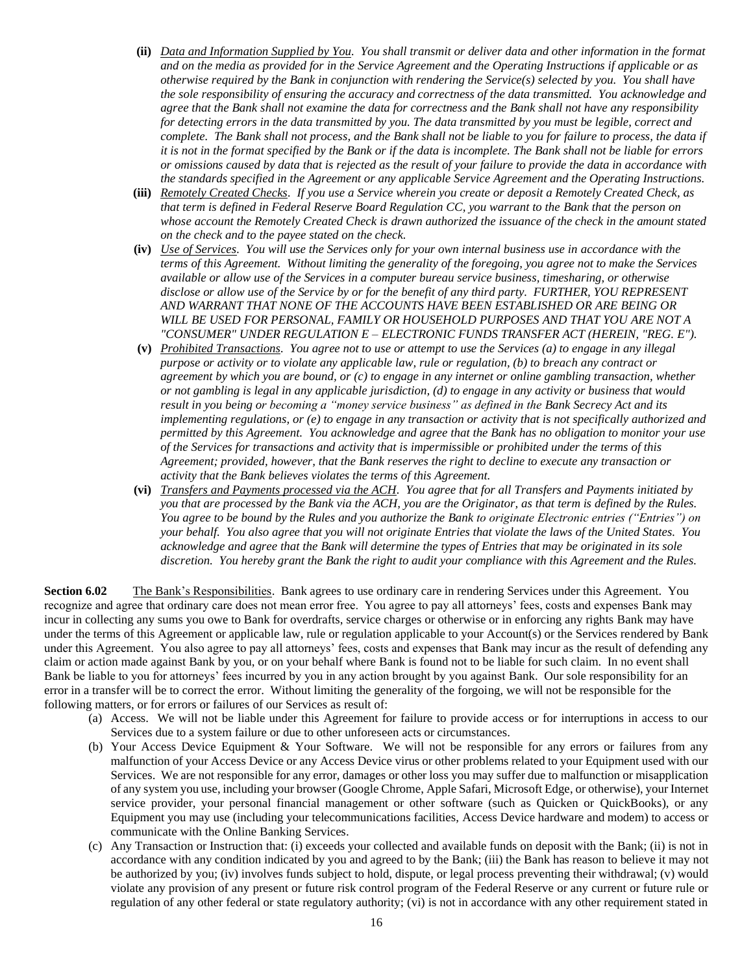- **(ii)** *Data and Information Supplied by You. You shall transmit or deliver data and other information in the format and on the media as provided for in the Service Agreement and the Operating Instructions if applicable or as otherwise required by the Bank in conjunction with rendering the Service(s) selected by you. You shall have the sole responsibility of ensuring the accuracy and correctness of the data transmitted. You acknowledge and agree that the Bank shall not examine the data for correctness and the Bank shall not have any responsibility for detecting errors in the data transmitted by you. The data transmitted by you must be legible, correct and complete. The Bank shall not process, and the Bank shall not be liable to you for failure to process, the data if it is not in the format specified by the Bank or if the data is incomplete. The Bank shall not be liable for errors or omissions caused by data that is rejected as the result of your failure to provide the data in accordance with the standards specified in the Agreement or any applicable Service Agreement and the Operating Instructions.*
- **(iii)** *Remotely Created Checks. If you use a Service wherein you create or deposit a Remotely Created Check, as that term is defined in Federal Reserve Board Regulation CC, you warrant to the Bank that the person on whose account the Remotely Created Check is drawn authorized the issuance of the check in the amount stated on the check and to the payee stated on the check.*
- **(iv)** *Use of Services. You will use the Services only for your own internal business use in accordance with the terms of this Agreement. Without limiting the generality of the foregoing, you agree not to make the Services available or allow use of the Services in a computer bureau service business, timesharing, or otherwise disclose or allow use of the Service by or for the benefit of any third party. FURTHER, YOU REPRESENT AND WARRANT THAT NONE OF THE ACCOUNTS HAVE BEEN ESTABLISHED OR ARE BEING OR WILL BE USED FOR PERSONAL, FAMILY OR HOUSEHOLD PURPOSES AND THAT YOU ARE NOT A "CONSUMER" UNDER REGULATION E – ELECTRONIC FUNDS TRANSFER ACT (HEREIN, "REG. E").*
- **(v)** *Prohibited Transactions. You agree not to use or attempt to use the Services (a) to engage in any illegal purpose or activity or to violate any applicable law, rule or regulation, (b) to breach any contract or agreement by which you are bound, or (c) to engage in any internet or online gambling transaction, whether or not gambling is legal in any applicable jurisdiction, (d) to engage in any activity or business that would result in you being or becoming a "money service business" as defined in the Bank Secrecy Act and its implementing regulations, or (e) to engage in any transaction or activity that is not specifically authorized and permitted by this Agreement. You acknowledge and agree that the Bank has no obligation to monitor your use of the Services for transactions and activity that is impermissible or prohibited under the terms of this Agreement; provided, however, that the Bank reserves the right to decline to execute any transaction or activity that the Bank believes violates the terms of this Agreement.*
- **(vi)** *Transfers and Payments processed via the ACH. You agree that for all Transfers and Payments initiated by you that are processed by the Bank via the ACH, you are the Originator, as that term is defined by the Rules. You agree to be bound by the Rules and you authorize the Bank to originate Electronic entries ("Entries") on your behalf. You also agree that you will not originate Entries that violate the laws of the United States. You acknowledge and agree that the Bank will determine the types of Entries that may be originated in its sole discretion. You hereby grant the Bank the right to audit your compliance with this Agreement and the Rules.*

**Section 6.02** The Bank's Responsibilities. Bank agrees to use ordinary care in rendering Services under this Agreement. You recognize and agree that ordinary care does not mean error free. You agree to pay all attorneys' fees, costs and expenses Bank may incur in collecting any sums you owe to Bank for overdrafts, service charges or otherwise or in enforcing any rights Bank may have under the terms of this Agreement or applicable law, rule or regulation applicable to your Account(s) or the Services rendered by Bank under this Agreement. You also agree to pay all attorneys' fees, costs and expenses that Bank may incur as the result of defending any claim or action made against Bank by you, or on your behalf where Bank is found not to be liable for such claim. In no event shall Bank be liable to you for attorneys' fees incurred by you in any action brought by you against Bank. Our sole responsibility for an error in a transfer will be to correct the error. Without limiting the generality of the forgoing, we will not be responsible for the following matters, or for errors or failures of our Services as result of:

- (a) Access. We will not be liable under this Agreement for failure to provide access or for interruptions in access to our Services due to a system failure or due to other unforeseen acts or circumstances.
- (b) Your Access Device Equipment & Your Software. We will not be responsible for any errors or failures from any malfunction of your Access Device or any Access Device virus or other problems related to your Equipment used with our Services. We are not responsible for any error, damages or other loss you may suffer due to malfunction or misapplication of any system you use, including your browser (Google Chrome, Apple Safari, Microsoft Edge, or otherwise), your Internet service provider, your personal financial management or other software (such as Quicken or QuickBooks), or any Equipment you may use (including your telecommunications facilities, Access Device hardware and modem) to access or communicate with the Online Banking Services.
- (c) Any Transaction or Instruction that: (i) exceeds your collected and available funds on deposit with the Bank; (ii) is not in accordance with any condition indicated by you and agreed to by the Bank; (iii) the Bank has reason to believe it may not be authorized by you; (iv) involves funds subject to hold, dispute, or legal process preventing their withdrawal; (v) would violate any provision of any present or future risk control program of the Federal Reserve or any current or future rule or regulation of any other federal or state regulatory authority; (vi) is not in accordance with any other requirement stated in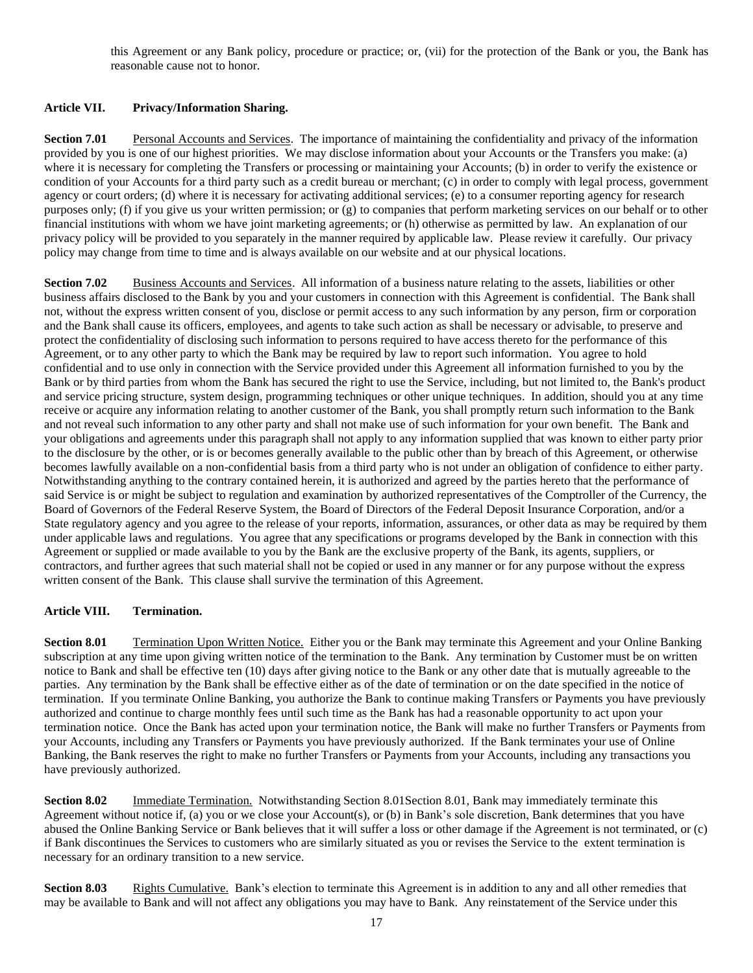this Agreement or any Bank policy, procedure or practice; or, (vii) for the protection of the Bank or you, the Bank has reasonable cause not to honor.

# **Article VII. Privacy/Information Sharing.**

**Section 7.01** Personal Accounts and Services. The importance of maintaining the confidentiality and privacy of the information provided by you is one of our highest priorities. We may disclose information about your Accounts or the Transfers you make: (a) where it is necessary for completing the Transfers or processing or maintaining your Accounts; (b) in order to verify the existence or condition of your Accounts for a third party such as a credit bureau or merchant; (c) in order to comply with legal process, government agency or court orders; (d) where it is necessary for activating additional services; (e) to a consumer reporting agency for research purposes only; (f) if you give us your written permission; or (g) to companies that perform marketing services on our behalf or to other financial institutions with whom we have joint marketing agreements; or (h) otherwise as permitted by law. An explanation of our privacy policy will be provided to you separately in the manner required by applicable law. Please review it carefully. Our privacy policy may change from time to time and is always available on our website and at our physical locations.

**Section 7.02** Business Accounts and Services. All information of a business nature relating to the assets, liabilities or other business affairs disclosed to the Bank by you and your customers in connection with this Agreement is confidential. The Bank shall not, without the express written consent of you, disclose or permit access to any such information by any person, firm or corporation and the Bank shall cause its officers, employees, and agents to take such action as shall be necessary or advisable, to preserve and protect the confidentiality of disclosing such information to persons required to have access thereto for the performance of this Agreement, or to any other party to which the Bank may be required by law to report such information. You agree to hold confidential and to use only in connection with the Service provided under this Agreement all information furnished to you by the Bank or by third parties from whom the Bank has secured the right to use the Service, including, but not limited to, the Bank's product and service pricing structure, system design, programming techniques or other unique techniques. In addition, should you at any time receive or acquire any information relating to another customer of the Bank, you shall promptly return such information to the Bank and not reveal such information to any other party and shall not make use of such information for your own benefit. The Bank and your obligations and agreements under this paragraph shall not apply to any information supplied that was known to either party prior to the disclosure by the other, or is or becomes generally available to the public other than by breach of this Agreement, or otherwise becomes lawfully available on a non-confidential basis from a third party who is not under an obligation of confidence to either party. Notwithstanding anything to the contrary contained herein, it is authorized and agreed by the parties hereto that the performance of said Service is or might be subject to regulation and examination by authorized representatives of the Comptroller of the Currency, the Board of Governors of the Federal Reserve System, the Board of Directors of the Federal Deposit Insurance Corporation, and/or a State regulatory agency and you agree to the release of your reports, information, assurances, or other data as may be required by them under applicable laws and regulations. You agree that any specifications or programs developed by the Bank in connection with this Agreement or supplied or made available to you by the Bank are the exclusive property of the Bank, its agents, suppliers, or contractors, and further agrees that such material shall not be copied or used in any manner or for any purpose without the express written consent of the Bank. This clause shall survive the termination of this Agreement.

# **Article VIII. Termination.**

<span id="page-16-0"></span>**Section 8.01** Termination Upon Written Notice. Either you or the Bank may terminate this Agreement and your Online Banking subscription at any time upon giving written notice of the termination to the Bank. Any termination by Customer must be on written notice to Bank and shall be effective ten (10) days after giving notice to the Bank or any other date that is mutually agreeable to the parties. Any termination by the Bank shall be effective either as of the date of termination or on the date specified in the notice of termination. If you terminate Online Banking, you authorize the Bank to continue making Transfers or Payments you have previously authorized and continue to charge monthly fees until such time as the Bank has had a reasonable opportunity to act upon your termination notice. Once the Bank has acted upon your termination notice, the Bank will make no further Transfers or Payments from your Accounts, including any Transfers or Payments you have previously authorized. If the Bank terminates your use of Online Banking, the Bank reserves the right to make no further Transfers or Payments from your Accounts, including any transactions you have previously authorized.

**Section 8.02** Immediate Termination. Notwithstanding Section 8.01 Section 8.01, Bank may immediately terminate this Agreement without notice if, (a) you or we close your Account(s), or (b) in Bank's sole discretion, Bank determines that you have abused the Online Banking Service or Bank believes that it will suffer a loss or other damage if the Agreement is not terminated, or (c) if Bank discontinues the Services to customers who are similarly situated as you or revises the Service to the extent termination is necessary for an ordinary transition to a new service.

**Section 8.03** Rights Cumulative. Bank's election to terminate this Agreement is in addition to any and all other remedies that may be available to Bank and will not affect any obligations you may have to Bank. Any reinstatement of the Service under this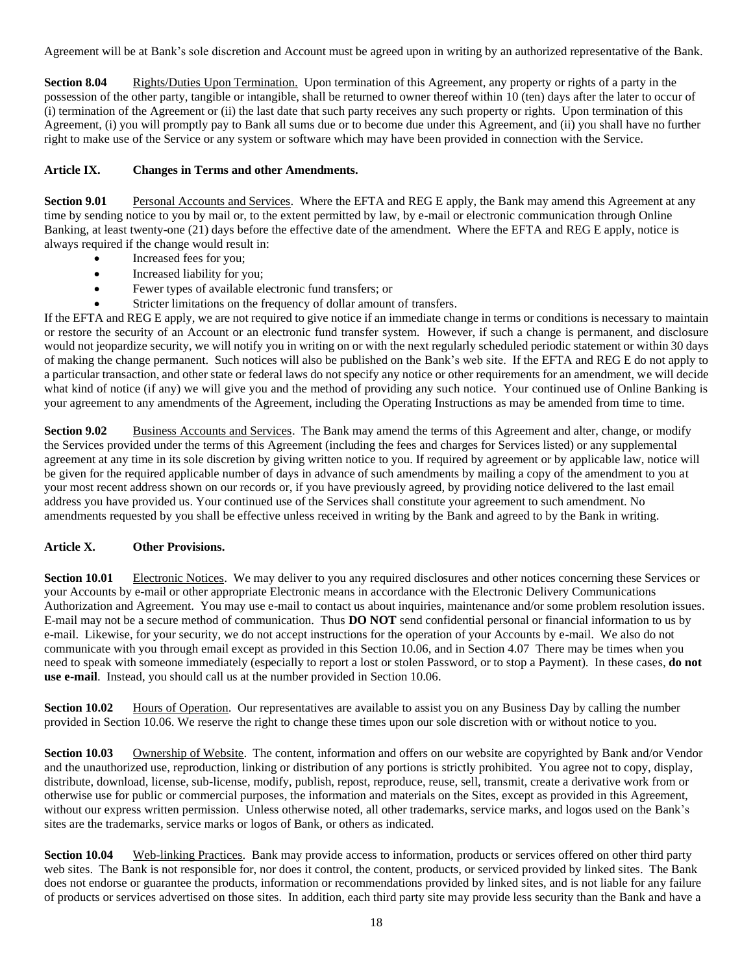Agreement will be at Bank's sole discretion and Account must be agreed upon in writing by an authorized representative of the Bank.

**Section 8.04** Rights/Duties Upon Termination. Upon termination of this Agreement, any property or rights of a party in the possession of the other party, tangible or intangible, shall be returned to owner thereof within 10 (ten) days after the later to occur of (i) termination of the Agreement or (ii) the last date that such party receives any such property or rights. Upon termination of this Agreement, (i) you will promptly pay to Bank all sums due or to become due under this Agreement, and (ii) you shall have no further right to make use of the Service or any system or software which may have been provided in connection with the Service.

# <span id="page-17-0"></span>**Article IX. Changes in Terms and other Amendments.**

**Section 9.01** Personal Accounts and Services. Where the EFTA and REG E apply, the Bank may amend this Agreement at any time by sending notice to you by mail or, to the extent permitted by law, by e-mail or electronic communication through Online Banking, at least twenty-one (21) days before the effective date of the amendment. Where the EFTA and REG E apply, notice is always required if the change would result in:

- Increased fees for you;
- Increased liability for you;
- Fewer types of available electronic fund transfers; or
- Stricter limitations on the frequency of dollar amount of transfers.

If the EFTA and REG E apply, we are not required to give notice if an immediate change in terms or conditions is necessary to maintain or restore the security of an Account or an electronic fund transfer system. However, if such a change is permanent, and disclosure would not jeopardize security, we will notify you in writing on or with the next regularly scheduled periodic statement or within 30 days of making the change permanent. Such notices will also be published on the Bank's web site. If the EFTA and REG E do not apply to a particular transaction, and other state or federal laws do not specify any notice or other requirements for an amendment, we will decide what kind of notice (if any) we will give you and the method of providing any such notice. Your continued use of Online Banking is your agreement to any amendments of the Agreement, including the Operating Instructions as may be amended from time to time.

**Section 9.02** Business Accounts and Services. The Bank may amend the terms of this Agreement and alter, change, or modify the Services provided under the terms of this Agreement (including the fees and charges for Services listed) or any supplemental agreement at any time in its sole discretion by giving written notice to you. If required by agreement or by applicable law, notice will be given for the required applicable number of days in advance of such amendments by mailing a copy of the amendment to you at your most recent address shown on our records or, if you have previously agreed, by providing notice delivered to the last email address you have provided us. Your continued use of the Services shall constitute your agreement to such amendment. No amendments requested by you shall be effective unless received in writing by the Bank and agreed to by the Bank in writing.

# **Article X. Other Provisions.**

<span id="page-17-1"></span>**Section 10.01** Electronic Notices. We may deliver to you any required disclosures and other notices concerning these Services or your Accounts by e-mail or other appropriate Electronic means in accordance with the Electronic Delivery Communications Authorization and Agreement. You may use e-mail to contact us about inquiries, maintenance and/or some problem resolution issues. E-mail may not be a secure method of communication. Thus **DO NOT** send confidential personal or financial information to us by e-mail. Likewise, for your security, we do not accept instructions for the operation of your Accounts by e-mail. We also do not communicate with you through email except as provided in thi[s Section 10.06,](#page-18-1) and i[n Section 4.07](#page-12-0) There may be times when you need to speak with someone immediately (especially to report a lost or stolen Password, or to stop a Payment). In these cases, **do not use e-mail**. Instead, you should call us at the number provided in [Section 10.06.](#page-18-1)

**Section 10.02** Hours of Operation. Our representatives are available to assist you on any Business Day by calling the number provided in [Section 10.06.](#page-18-1) We reserve the right to change these times upon our sole discretion with or without notice to you.

**Section 10.03** Ownership of Website. The content, information and offers on our website are copyrighted by Bank and/or Vendor and the unauthorized use, reproduction, linking or distribution of any portions is strictly prohibited. You agree not to copy, display, distribute, download, license, sub-license, modify, publish, repost, reproduce, reuse, sell, transmit, create a derivative work from or otherwise use for public or commercial purposes, the information and materials on the Sites, except as provided in this Agreement, without our express written permission. Unless otherwise noted, all other trademarks, service marks, and logos used on the Bank's sites are the trademarks, service marks or logos of Bank, or others as indicated.

**Section 10.04** Web-linking Practices. Bank may provide access to information, products or services offered on other third party web sites. The Bank is not responsible for, nor does it control, the content, products, or serviced provided by linked sites. The Bank does not endorse or guarantee the products, information or recommendations provided by linked sites, and is not liable for any failure of products or services advertised on those sites. In addition, each third party site may provide less security than the Bank and have a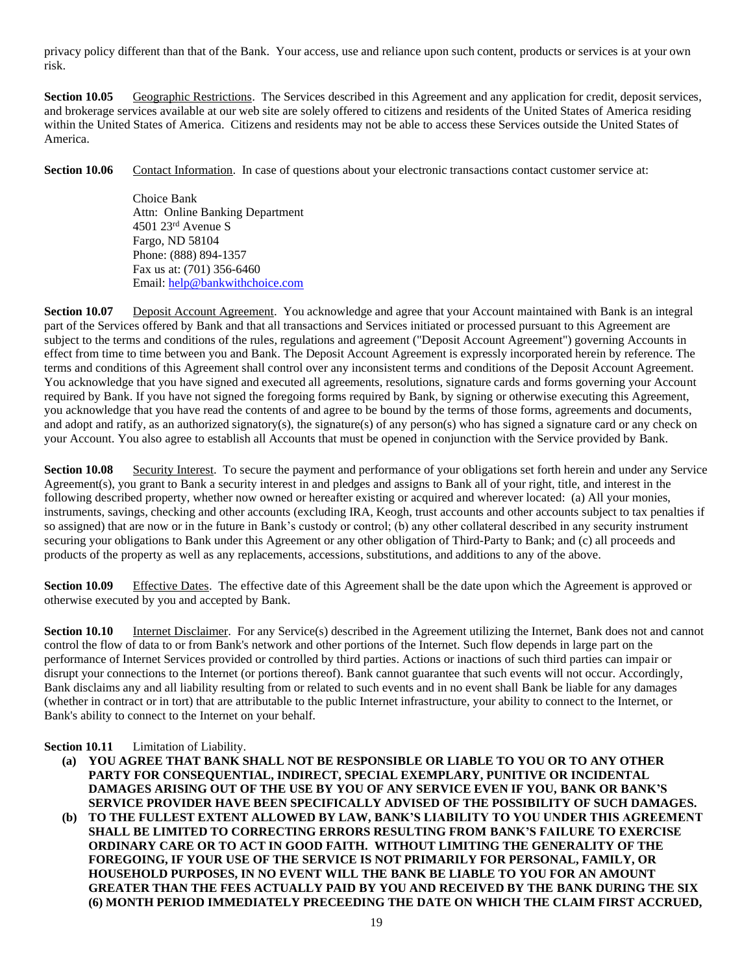privacy policy different than that of the Bank. Your access, use and reliance upon such content, products or services is at your own risk.

**Section 10.05** Geographic Restrictions. The Services described in this Agreement and any application for credit, deposit services, and brokerage services available at our web site are solely offered to citizens and residents of the United States of America residing within the United States of America. Citizens and residents may not be able to access these Services outside the United States of America.

<span id="page-18-1"></span>**Section 10.06** Contact Information. In case of questions about your electronic transactions contact customer service at:

Choice Bank Attn: Online Banking Department 4501 23rd Avenue S Fargo, ND 58104 Phone: (888) 894-1357 Fax us at: (701) 356-6460 Email: [help@bankwithchoice.com](mailto:help@bankwithchoice.com)

<span id="page-18-0"></span>**Section 10.07** Deposit Account Agreement. You acknowledge and agree that your Account maintained with Bank is an integral part of the Services offered by Bank and that all transactions and Services initiated or processed pursuant to this Agreement are subject to the terms and conditions of the rules, regulations and agreement ("Deposit Account Agreement") governing Accounts in effect from time to time between you and Bank. The Deposit Account Agreement is expressly incorporated herein by reference. The terms and conditions of this Agreement shall control over any inconsistent terms and conditions of the Deposit Account Agreement. You acknowledge that you have signed and executed all agreements, resolutions, signature cards and forms governing your Account required by Bank. If you have not signed the foregoing forms required by Bank, by signing or otherwise executing this Agreement, you acknowledge that you have read the contents of and agree to be bound by the terms of those forms, agreements and documents, and adopt and ratify, as an authorized signatory(s), the signature(s) of any person(s) who has signed a signature card or any check on your Account. You also agree to establish all Accounts that must be opened in conjunction with the Service provided by Bank.

**Section 10.08** Security Interest. To secure the payment and performance of your obligations set forth herein and under any Service Agreement(s), you grant to Bank a security interest in and pledges and assigns to Bank all of your right, title, and interest in the following described property, whether now owned or hereafter existing or acquired and wherever located: (a) All your monies, instruments, savings, checking and other accounts (excluding IRA, Keogh, trust accounts and other accounts subject to tax penalties if so assigned) that are now or in the future in Bank's custody or control; (b) any other collateral described in any security instrument securing your obligations to Bank under this Agreement or any other obligation of Third-Party to Bank; and (c) all proceeds and products of the property as well as any replacements, accessions, substitutions, and additions to any of the above.

**Section 10.09** Effective Dates. The effective date of this Agreement shall be the date upon which the Agreement is approved or otherwise executed by you and accepted by Bank.

**Section 10.10** Internet Disclaimer. For any Service(s) described in the Agreement utilizing the Internet, Bank does not and cannot control the flow of data to or from Bank's network and other portions of the Internet. Such flow depends in large part on the performance of Internet Services provided or controlled by third parties. Actions or inactions of such third parties can impair or disrupt your connections to the Internet (or portions thereof). Bank cannot guarantee that such events will not occur. Accordingly, Bank disclaims any and all liability resulting from or related to such events and in no event shall Bank be liable for any damages (whether in contract or in tort) that are attributable to the public Internet infrastructure, your ability to connect to the Internet, or Bank's ability to connect to the Internet on your behalf.

# **Section 10.11** Limitation of Liability.

- **(a) YOU AGREE THAT BANK SHALL NOT BE RESPONSIBLE OR LIABLE TO YOU OR TO ANY OTHER PARTY FOR CONSEQUENTIAL, INDIRECT, SPECIAL EXEMPLARY, PUNITIVE OR INCIDENTAL DAMAGES ARISING OUT OF THE USE BY YOU OF ANY SERVICE EVEN IF YOU, BANK OR BANK'S SERVICE PROVIDER HAVE BEEN SPECIFICALLY ADVISED OF THE POSSIBILITY OF SUCH DAMAGES.**
- **(b) TO THE FULLEST EXTENT ALLOWED BY LAW, BANK'S LIABILITY TO YOU UNDER THIS AGREEMENT SHALL BE LIMITED TO CORRECTING ERRORS RESULTING FROM BANK'S FAILURE TO EXERCISE ORDINARY CARE OR TO ACT IN GOOD FAITH. WITHOUT LIMITING THE GENERALITY OF THE FOREGOING, IF YOUR USE OF THE SERVICE IS NOT PRIMARILY FOR PERSONAL, FAMILY, OR HOUSEHOLD PURPOSES, IN NO EVENT WILL THE BANK BE LIABLE TO YOU FOR AN AMOUNT GREATER THAN THE FEES ACTUALLY PAID BY YOU AND RECEIVED BY THE BANK DURING THE SIX (6) MONTH PERIOD IMMEDIATELY PRECEEDING THE DATE ON WHICH THE CLAIM FIRST ACCRUED,**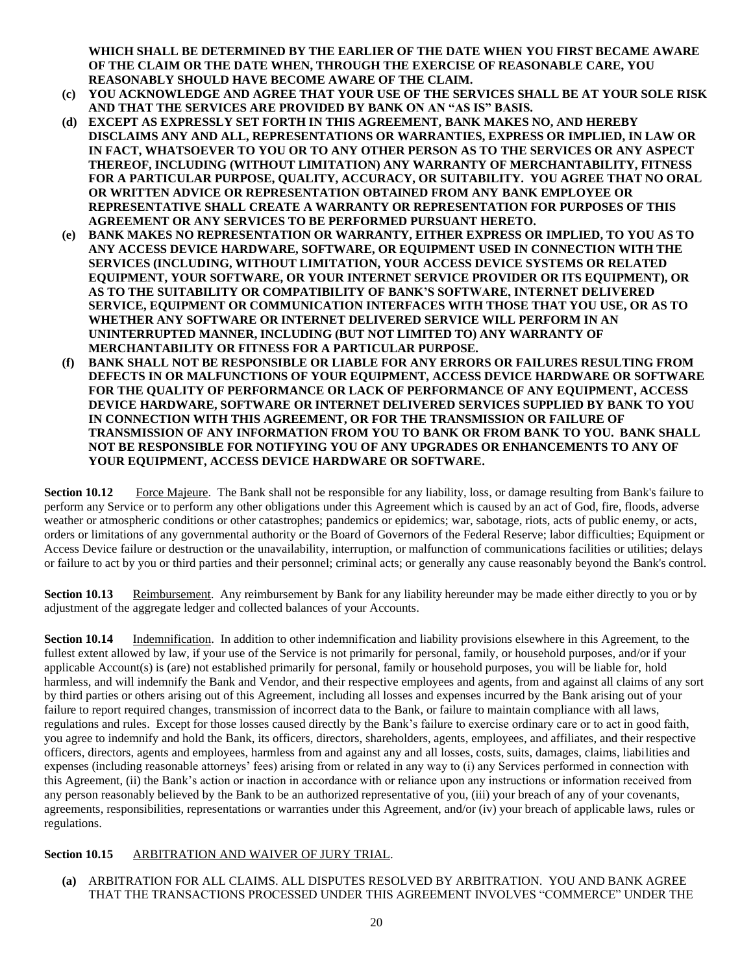**WHICH SHALL BE DETERMINED BY THE EARLIER OF THE DATE WHEN YOU FIRST BECAME AWARE OF THE CLAIM OR THE DATE WHEN, THROUGH THE EXERCISE OF REASONABLE CARE, YOU REASONABLY SHOULD HAVE BECOME AWARE OF THE CLAIM.**

- **(c) YOU ACKNOWLEDGE AND AGREE THAT YOUR USE OF THE SERVICES SHALL BE AT YOUR SOLE RISK AND THAT THE SERVICES ARE PROVIDED BY BANK ON AN "AS IS" BASIS.**
- **(d) EXCEPT AS EXPRESSLY SET FORTH IN THIS AGREEMENT, BANK MAKES NO, AND HEREBY DISCLAIMS ANY AND ALL, REPRESENTATIONS OR WARRANTIES, EXPRESS OR IMPLIED, IN LAW OR IN FACT, WHATSOEVER TO YOU OR TO ANY OTHER PERSON AS TO THE SERVICES OR ANY ASPECT THEREOF, INCLUDING (WITHOUT LIMITATION) ANY WARRANTY OF MERCHANTABILITY, FITNESS FOR A PARTICULAR PURPOSE, QUALITY, ACCURACY, OR SUITABILITY. YOU AGREE THAT NO ORAL OR WRITTEN ADVICE OR REPRESENTATION OBTAINED FROM ANY BANK EMPLOYEE OR REPRESENTATIVE SHALL CREATE A WARRANTY OR REPRESENTATION FOR PURPOSES OF THIS AGREEMENT OR ANY SERVICES TO BE PERFORMED PURSUANT HERETO.**
- **(e) BANK MAKES NO REPRESENTATION OR WARRANTY, EITHER EXPRESS OR IMPLIED, TO YOU AS TO ANY ACCESS DEVICE HARDWARE, SOFTWARE, OR EQUIPMENT USED IN CONNECTION WITH THE SERVICES (INCLUDING, WITHOUT LIMITATION, YOUR ACCESS DEVICE SYSTEMS OR RELATED EQUIPMENT, YOUR SOFTWARE, OR YOUR INTERNET SERVICE PROVIDER OR ITS EQUIPMENT), OR AS TO THE SUITABILITY OR COMPATIBILITY OF BANK'S SOFTWARE, INTERNET DELIVERED SERVICE, EQUIPMENT OR COMMUNICATION INTERFACES WITH THOSE THAT YOU USE, OR AS TO WHETHER ANY SOFTWARE OR INTERNET DELIVERED SERVICE WILL PERFORM IN AN UNINTERRUPTED MANNER, INCLUDING (BUT NOT LIMITED TO) ANY WARRANTY OF MERCHANTABILITY OR FITNESS FOR A PARTICULAR PURPOSE.**
- **(f) BANK SHALL NOT BE RESPONSIBLE OR LIABLE FOR ANY ERRORS OR FAILURES RESULTING FROM DEFECTS IN OR MALFUNCTIONS OF YOUR EQUIPMENT, ACCESS DEVICE HARDWARE OR SOFTWARE FOR THE QUALITY OF PERFORMANCE OR LACK OF PERFORMANCE OF ANY EQUIPMENT, ACCESS DEVICE HARDWARE, SOFTWARE OR INTERNET DELIVERED SERVICES SUPPLIED BY BANK TO YOU IN CONNECTION WITH THIS AGREEMENT, OR FOR THE TRANSMISSION OR FAILURE OF TRANSMISSION OF ANY INFORMATION FROM YOU TO BANK OR FROM BANK TO YOU. BANK SHALL NOT BE RESPONSIBLE FOR NOTIFYING YOU OF ANY UPGRADES OR ENHANCEMENTS TO ANY OF YOUR EQUIPMENT, ACCESS DEVICE HARDWARE OR SOFTWARE.**

**Section 10.12** Force Majeure. The Bank shall not be responsible for any liability, loss, or damage resulting from Bank's failure to perform any Service or to perform any other obligations under this Agreement which is caused by an act of God, fire, floods, adverse weather or atmospheric conditions or other catastrophes; pandemics or epidemics; war, sabotage, riots, acts of public enemy, or acts, orders or limitations of any governmental authority or the Board of Governors of the Federal Reserve; labor difficulties; Equipment or Access Device failure or destruction or the unavailability, interruption, or malfunction of communications facilities or utilities; delays or failure to act by you or third parties and their personnel; criminal acts; or generally any cause reasonably beyond the Bank's control.

**Section 10.13** Reimbursement. Any reimbursement by Bank for any liability hereunder may be made either directly to you or by adjustment of the aggregate ledger and collected balances of your Accounts.

**Section 10.14** Indemnification. In addition to other indemnification and liability provisions elsewhere in this Agreement, to the fullest extent allowed by law, if your use of the Service is not primarily for personal, family, or household purposes, and/or if your applicable Account(s) is (are) not established primarily for personal, family or household purposes, you will be liable for, hold harmless, and will indemnify the Bank and Vendor, and their respective employees and agents, from and against all claims of any sort by third parties or others arising out of this Agreement, including all losses and expenses incurred by the Bank arising out of your failure to report required changes, transmission of incorrect data to the Bank, or failure to maintain compliance with all laws, regulations and rules. Except for those losses caused directly by the Bank's failure to exercise ordinary care or to act in good faith, you agree to indemnify and hold the Bank, its officers, directors, shareholders, agents, employees, and affiliates, and their respective officers, directors, agents and employees, harmless from and against any and all losses, costs, suits, damages, claims, liabilities and expenses (including reasonable attorneys' fees) arising from or related in any way to (i) any Services performed in connection with this Agreement, (ii) the Bank's action or inaction in accordance with or reliance upon any instructions or information received from any person reasonably believed by the Bank to be an authorized representative of you, (iii) your breach of any of your covenants, agreements, responsibilities, representations or warranties under this Agreement, and/or (iv) your breach of applicable laws, rules or regulations.

# **Section 10.15** ARBITRATION AND WAIVER OF JURY TRIAL.

**(a)** ARBITRATION FOR ALL CLAIMS. ALL DISPUTES RESOLVED BY ARBITRATION. YOU AND BANK AGREE THAT THE TRANSACTIONS PROCESSED UNDER THIS AGREEMENT INVOLVES "COMMERCE" UNDER THE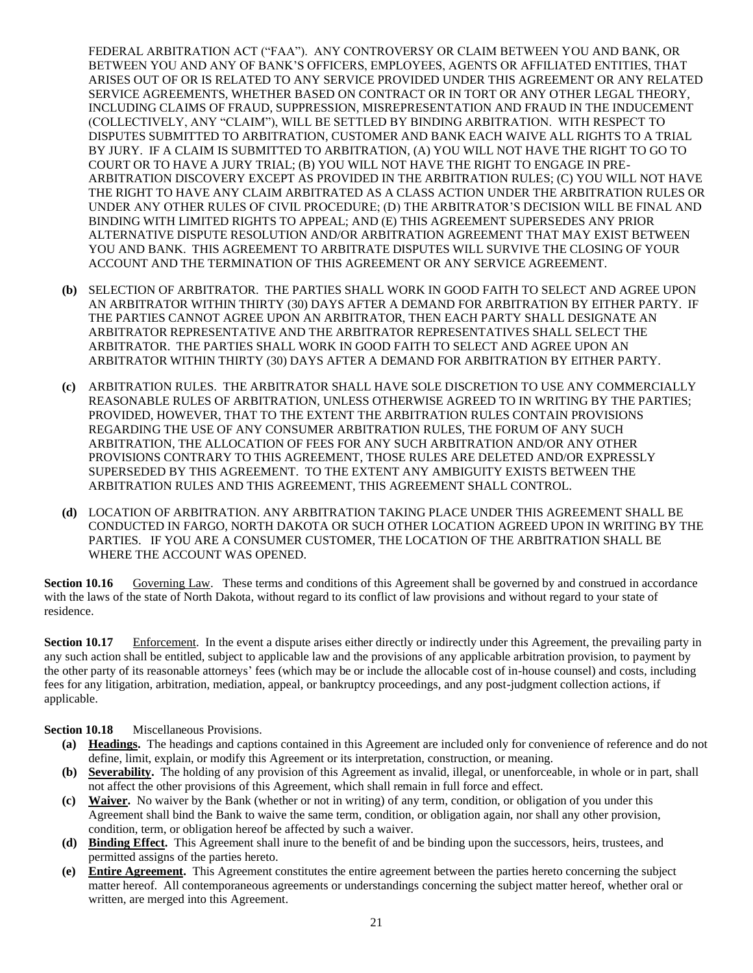FEDERAL ARBITRATION ACT ("FAA"). ANY CONTROVERSY OR CLAIM BETWEEN YOU AND BANK, OR BETWEEN YOU AND ANY OF BANK'S OFFICERS, EMPLOYEES, AGENTS OR AFFILIATED ENTITIES, THAT ARISES OUT OF OR IS RELATED TO ANY SERVICE PROVIDED UNDER THIS AGREEMENT OR ANY RELATED SERVICE AGREEMENTS, WHETHER BASED ON CONTRACT OR IN TORT OR ANY OTHER LEGAL THEORY, INCLUDING CLAIMS OF FRAUD, SUPPRESSION, MISREPRESENTATION AND FRAUD IN THE INDUCEMENT (COLLECTIVELY, ANY "CLAIM"), WILL BE SETTLED BY BINDING ARBITRATION. WITH RESPECT TO DISPUTES SUBMITTED TO ARBITRATION, CUSTOMER AND BANK EACH WAIVE ALL RIGHTS TO A TRIAL BY JURY. IF A CLAIM IS SUBMITTED TO ARBITRATION, (A) YOU WILL NOT HAVE THE RIGHT TO GO TO COURT OR TO HAVE A JURY TRIAL; (B) YOU WILL NOT HAVE THE RIGHT TO ENGAGE IN PRE-ARBITRATION DISCOVERY EXCEPT AS PROVIDED IN THE ARBITRATION RULES; (C) YOU WILL NOT HAVE THE RIGHT TO HAVE ANY CLAIM ARBITRATED AS A CLASS ACTION UNDER THE ARBITRATION RULES OR UNDER ANY OTHER RULES OF CIVIL PROCEDURE; (D) THE ARBITRATOR'S DECISION WILL BE FINAL AND BINDING WITH LIMITED RIGHTS TO APPEAL; AND (E) THIS AGREEMENT SUPERSEDES ANY PRIOR ALTERNATIVE DISPUTE RESOLUTION AND/OR ARBITRATION AGREEMENT THAT MAY EXIST BETWEEN YOU AND BANK. THIS AGREEMENT TO ARBITRATE DISPUTES WILL SURVIVE THE CLOSING OF YOUR ACCOUNT AND THE TERMINATION OF THIS AGREEMENT OR ANY SERVICE AGREEMENT.

- **(b)** SELECTION OF ARBITRATOR. THE PARTIES SHALL WORK IN GOOD FAITH TO SELECT AND AGREE UPON AN ARBITRATOR WITHIN THIRTY (30) DAYS AFTER A DEMAND FOR ARBITRATION BY EITHER PARTY. IF THE PARTIES CANNOT AGREE UPON AN ARBITRATOR, THEN EACH PARTY SHALL DESIGNATE AN ARBITRATOR REPRESENTATIVE AND THE ARBITRATOR REPRESENTATIVES SHALL SELECT THE ARBITRATOR. THE PARTIES SHALL WORK IN GOOD FAITH TO SELECT AND AGREE UPON AN ARBITRATOR WITHIN THIRTY (30) DAYS AFTER A DEMAND FOR ARBITRATION BY EITHER PARTY.
- **(c)** ARBITRATION RULES. THE ARBITRATOR SHALL HAVE SOLE DISCRETION TO USE ANY COMMERCIALLY REASONABLE RULES OF ARBITRATION, UNLESS OTHERWISE AGREED TO IN WRITING BY THE PARTIES; PROVIDED, HOWEVER, THAT TO THE EXTENT THE ARBITRATION RULES CONTAIN PROVISIONS REGARDING THE USE OF ANY CONSUMER ARBITRATION RULES, THE FORUM OF ANY SUCH ARBITRATION, THE ALLOCATION OF FEES FOR ANY SUCH ARBITRATION AND/OR ANY OTHER PROVISIONS CONTRARY TO THIS AGREEMENT, THOSE RULES ARE DELETED AND/OR EXPRESSLY SUPERSEDED BY THIS AGREEMENT. TO THE EXTENT ANY AMBIGUITY EXISTS BETWEEN THE ARBITRATION RULES AND THIS AGREEMENT, THIS AGREEMENT SHALL CONTROL.
- **(d)** LOCATION OF ARBITRATION. ANY ARBITRATION TAKING PLACE UNDER THIS AGREEMENT SHALL BE CONDUCTED IN FARGO, NORTH DAKOTA OR SUCH OTHER LOCATION AGREED UPON IN WRITING BY THE PARTIES. IF YOU ARE A CONSUMER CUSTOMER, THE LOCATION OF THE ARBITRATION SHALL BE WHERE THE ACCOUNT WAS OPENED.

**Section 10.16** Governing Law. These terms and conditions of this Agreement shall be governed by and construed in accordance with the laws of the state of North Dakota, without regard to its conflict of law provisions and without regard to your state of residence.

**Section 10.17** Enforcement. In the event a dispute arises either directly or indirectly under this Agreement, the prevailing party in any such action shall be entitled, subject to applicable law and the provisions of any applicable arbitration provision, to payment by the other party of its reasonable attorneys' fees (which may be or include the allocable cost of in-house counsel) and costs, including fees for any litigation, arbitration, mediation, appeal, or bankruptcy proceedings, and any post-judgment collection actions, if applicable.

**Section 10.18** Miscellaneous Provisions.

- **(a) Headings.** The headings and captions contained in this Agreement are included only for convenience of reference and do not define, limit, explain, or modify this Agreement or its interpretation, construction, or meaning.
- **(b) Severability.** The holding of any provision of this Agreement as invalid, illegal, or unenforceable, in whole or in part, shall not affect the other provisions of this Agreement, which shall remain in full force and effect.
- **(c) Waiver.** No waiver by the Bank (whether or not in writing) of any term, condition, or obligation of you under this Agreement shall bind the Bank to waive the same term, condition, or obligation again, nor shall any other provision, condition, term, or obligation hereof be affected by such a waiver.
- **(d) Binding Effect.** This Agreement shall inure to the benefit of and be binding upon the successors, heirs, trustees, and permitted assigns of the parties hereto.
- **(e) Entire Agreement.** This Agreement constitutes the entire agreement between the parties hereto concerning the subject matter hereof. All contemporaneous agreements or understandings concerning the subject matter hereof, whether oral or written, are merged into this Agreement.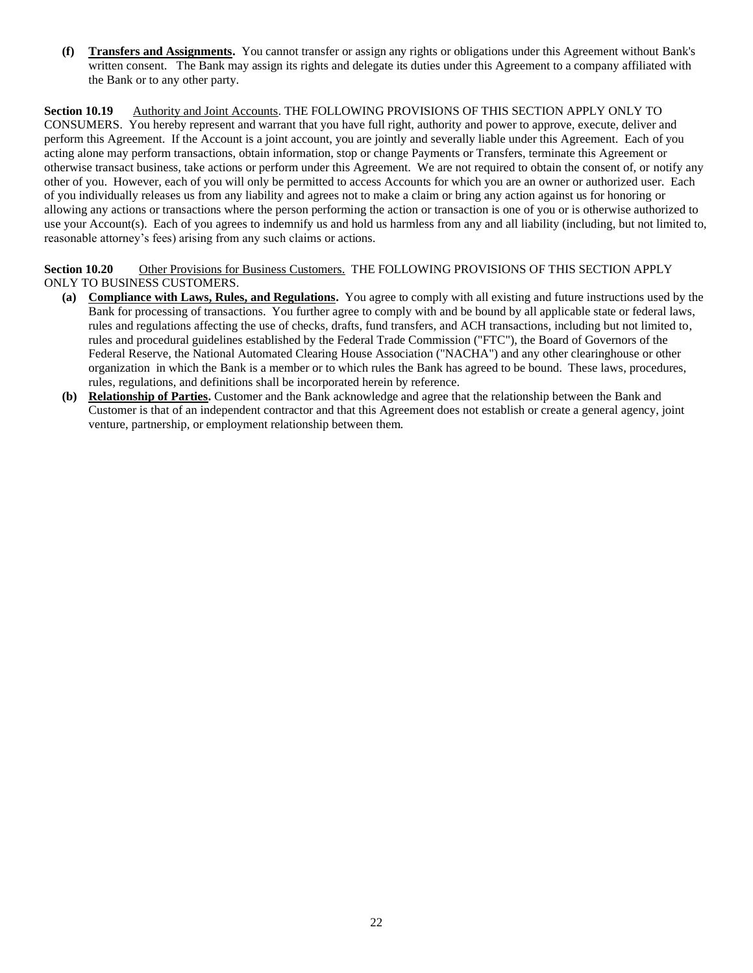**(f) Transfers and Assignments.** You cannot transfer or assign any rights or obligations under this Agreement without Bank's written consent. The Bank may assign its rights and delegate its duties under this Agreement to a company affiliated with the Bank or to any other party.

**Section 10.19** Authority and Joint Accounts. THE FOLLOWING PROVISIONS OF THIS SECTION APPLY ONLY TO CONSUMERS. You hereby represent and warrant that you have full right, authority and power to approve, execute, deliver and perform this Agreement. If the Account is a joint account, you are jointly and severally liable under this Agreement. Each of you acting alone may perform transactions, obtain information, stop or change Payments or Transfers, terminate this Agreement or otherwise transact business, take actions or perform under this Agreement. We are not required to obtain the consent of, or notify any other of you. However, each of you will only be permitted to access Accounts for which you are an owner or authorized user. Each of you individually releases us from any liability and agrees not to make a claim or bring any action against us for honoring or allowing any actions or transactions where the person performing the action or transaction is one of you or is otherwise authorized to use your Account(s). Each of you agrees to indemnify us and hold us harmless from any and all liability (including, but not limited to, reasonable attorney's fees) arising from any such claims or actions.

**Section 10.20** Other Provisions for Business Customers. THE FOLLOWING PROVISIONS OF THIS SECTION APPLY ONLY TO BUSINESS CUSTOMERS.

- **(a) Compliance with Laws, Rules, and Regulations.** You agree to comply with all existing and future instructions used by the Bank for processing of transactions. You further agree to comply with and be bound by all applicable state or federal laws, rules and regulations affecting the use of checks, drafts, fund transfers, and ACH transactions, including but not limited to, rules and procedural guidelines established by the Federal Trade Commission ("FTC"), the Board of Governors of the Federal Reserve, the National Automated Clearing House Association ("NACHA") and any other clearinghouse or other organization in which the Bank is a member or to which rules the Bank has agreed to be bound. These laws, procedures, rules, regulations, and definitions shall be incorporated herein by reference.
- **(b) Relationship of Parties.** Customer and the Bank acknowledge and agree that the relationship between the Bank and Customer is that of an independent contractor and that this Agreement does not establish or create a general agency, joint venture, partnership, or employment relationship between them.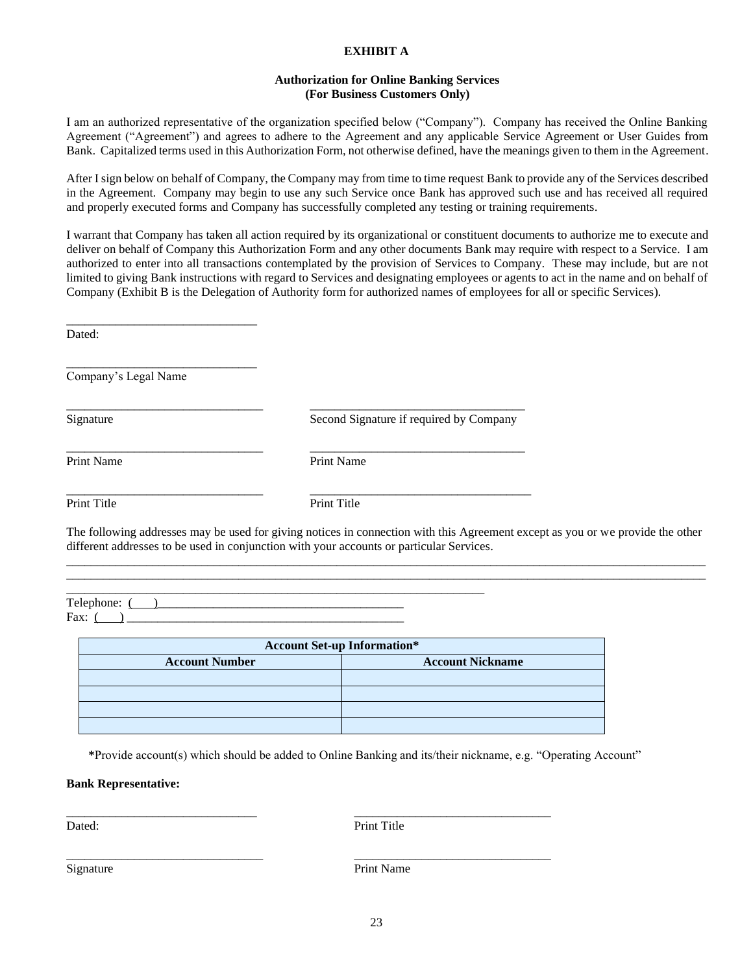# **EXHIBIT A**

#### **Authorization for Online Banking Services (For Business Customers Only)**

I am an authorized representative of the organization specified below ("Company"). Company has received the Online Banking Agreement ("Agreement") and agrees to adhere to the Agreement and any applicable Service Agreement or User Guides from Bank. Capitalized terms used in this Authorization Form, not otherwise defined, have the meanings given to them in the Agreement.

After I sign below on behalf of Company, the Company may from time to time request Bank to provide any of the Services described in the Agreement. Company may begin to use any such Service once Bank has approved such use and has received all required and properly executed forms and Company has successfully completed any testing or training requirements.

I warrant that Company has taken all action required by its organizational or constituent documents to authorize me to execute and deliver on behalf of Company this Authorization Form and any other documents Bank may require with respect to a Service. I am authorized to enter into all transactions contemplated by the provision of Services to Company. These may include, but are not limited to giving Bank instructions with regard to Services and designating employees or agents to act in the name and on behalf of Company (Exhibit B is the Delegation of Authority form for authorized names of employees for all or specific Services).

Dated:

Company's Legal Name

\_\_\_\_\_\_\_\_\_\_\_\_\_\_\_\_\_\_\_\_\_\_\_\_\_\_\_\_\_\_\_

\_\_\_\_\_\_\_\_\_\_\_\_\_\_\_\_\_\_\_\_\_\_\_\_\_\_\_\_\_\_\_

Signature Second Signature if required by Company

\_\_\_\_\_\_\_\_\_\_\_\_\_\_\_\_\_\_\_\_\_\_\_\_\_\_\_\_\_\_\_\_ \_\_\_\_\_\_\_\_\_\_\_\_\_\_\_\_\_\_\_\_\_\_\_\_\_\_\_\_\_\_\_\_\_\_\_

\_\_\_\_\_\_\_\_\_\_\_\_\_\_\_\_\_\_\_\_\_\_\_\_\_\_\_\_\_\_\_\_\_\_\_\_\_\_\_\_\_\_\_\_\_\_\_\_\_\_\_\_\_\_\_\_\_\_\_\_\_\_\_\_\_\_\_\_

Print Name Print Name

\_\_\_\_\_\_\_\_\_\_\_\_\_\_\_\_\_\_\_\_\_\_\_\_\_\_\_\_\_\_\_\_ \_\_\_\_\_\_\_\_\_\_\_\_\_\_\_\_\_\_\_\_\_\_\_\_\_\_\_\_\_\_\_\_\_\_\_

\_\_\_\_\_\_\_\_\_\_\_\_\_\_\_\_\_\_\_\_\_\_\_\_\_\_\_\_\_\_\_\_ \_\_\_\_\_\_\_\_\_\_\_\_\_\_\_\_\_\_\_\_\_\_\_\_\_\_\_\_\_\_\_\_\_\_\_\_ Print Title Print Title

The following addresses may be used for giving notices in connection with this Agreement except as you or we provide the other different addresses to be used in conjunction with your accounts or particular Services. \_\_\_\_\_\_\_\_\_\_\_\_\_\_\_\_\_\_\_\_\_\_\_\_\_\_\_\_\_\_\_\_\_\_\_\_\_\_\_\_\_\_\_\_\_\_\_\_\_\_\_\_\_\_\_\_\_\_\_\_\_\_\_\_\_\_\_\_\_\_\_\_\_\_\_\_\_\_\_\_\_\_\_\_\_\_\_\_\_\_\_\_\_\_\_\_\_\_\_\_\_\_\_\_

\_\_\_\_\_\_\_\_\_\_\_\_\_\_\_\_\_\_\_\_\_\_\_\_\_\_\_\_\_\_\_\_\_\_\_\_\_\_\_\_\_\_\_\_\_\_\_\_\_\_\_\_\_\_\_\_\_\_\_\_\_\_\_\_\_\_\_\_\_\_\_\_\_\_\_\_\_\_\_\_\_\_\_\_\_\_\_\_\_\_\_\_\_\_\_\_\_\_\_\_\_\_\_\_

Telephone:  $($ Fax:  $($   $)$ 

| <b>Account Set-up Information*</b> |                         |  |  |  |
|------------------------------------|-------------------------|--|--|--|
| <b>Account Number</b>              | <b>Account Nickname</b> |  |  |  |
|                                    |                         |  |  |  |
|                                    |                         |  |  |  |
|                                    |                         |  |  |  |
|                                    |                         |  |  |  |

\_\_\_\_\_\_\_\_\_\_\_\_\_\_\_\_\_\_\_\_\_\_\_\_\_\_\_\_\_\_\_ \_\_\_\_\_\_\_\_\_\_\_\_\_\_\_\_\_\_\_\_\_\_\_\_\_\_\_\_\_\_\_\_

\_\_\_\_\_\_\_\_\_\_\_\_\_\_\_\_\_\_\_\_\_\_\_\_\_\_\_\_\_\_\_\_ \_\_\_\_\_\_\_\_\_\_\_\_\_\_\_\_\_\_\_\_\_\_\_\_\_\_\_\_\_\_\_\_

**\***Provide account(s) which should be added to Online Banking and its/their nickname, e.g. "Operating Account"

#### **Bank Representative:**

Dated: Print Title

Signature Print Name